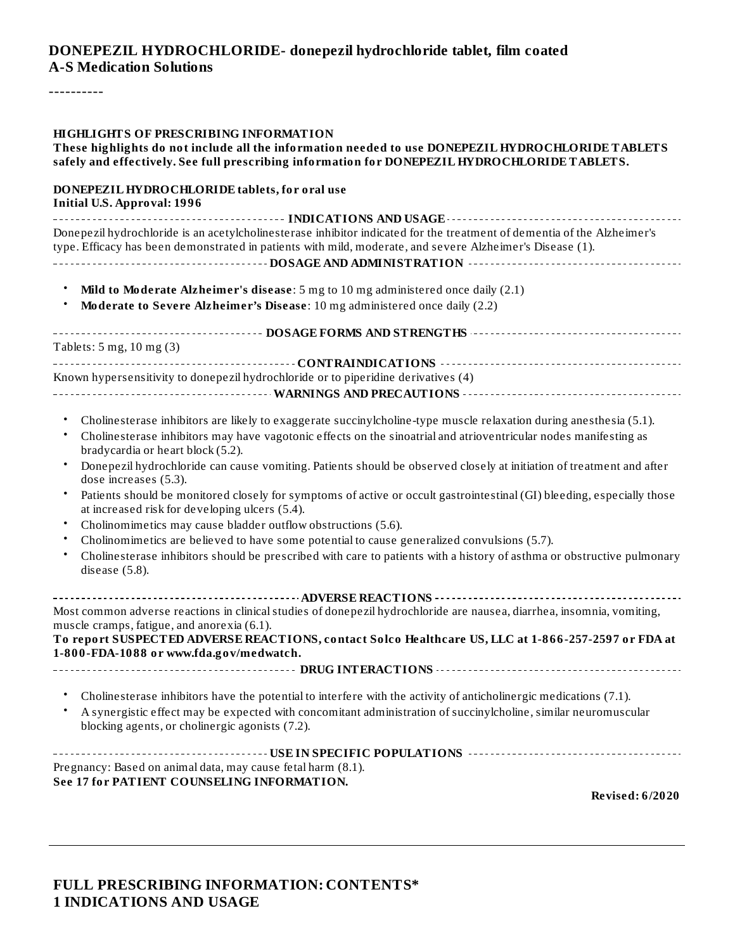#### **DONEPEZIL HYDROCHLORIDE- donepezil hydrochloride tablet, film coated A-S Medication Solutions**

----------

#### **HIGHLIGHTS OF PRESCRIBING INFORMATION**

#### **These highlights do not include all the information needed to use DONEPEZIL HYDROCHLORIDE TABLETS safely and effectively. See full prescribing information for DONEPEZIL HYDROCHLORIDE TABLETS.**

#### **DONEPEZIL HYDROCHLORIDE tablets, for oral use Initial U.S. Approval: 1996**

**INDICATIONS AND USAGE** Donepezil hydrochloride is an acetylcholinesterase inhibitor indicated for the treatment of dementia of the Alzheimer's type. Efficacy has been demonstrated in patients with mild, moderate, and severe Alzheimer's Disease (1). **DOSAGE AND ADMINISTRATION**

- **Mild to Moderate Alzheimer's disease**: 5 mg to 10 mg administered once daily (2.1)
- **Moderate to Severe Alzheimer's Disease**: 10 mg administered once daily (2.2)

| Tablets: $5 \text{ mg}$ , $10 \text{ mg}$ $(3)$                                    |
|------------------------------------------------------------------------------------|
|                                                                                    |
|                                                                                    |
| Known hypersensitivity to donepezil hydrochloride or to piperidine derivatives (4) |
|                                                                                    |
|                                                                                    |

- Cholinesterase inhibitors are likely to exaggerate succinylcholine-type muscle relaxation during anesthesia (5.1).
- Cholinesterase inhibitors may have vagotonic effects on the sinoatrial and atrioventricular nodes manifesting as bradycardia or heart block (5.2).
- Donepezil hydrochloride can cause vomiting. Patients should be observed closely at initiation of treatment and after dose increases (5.3).
- Patients should be monitored closely for symptoms of active or occult gastrointestinal (GI) bleeding, especially those at increased risk for developing ulcers (5.4).
- Cholinomimetics may cause bladder outflow obstructions (5.6).
- Cholinomimetics are believed to have some potential to cause generalized convulsions (5.7).
- Cholinesterase inhibitors should be prescribed with care to patients with a history of asthma or obstructive pulmonary disease (5.8).

**ADVERSE REACTIONS** Most common adverse reactions in clinical studies of donepezil hydrochloride are nausea, diarrhea, insomnia, vomiting, muscle cramps, fatigue, and anorexia (6.1). **To report SUSPECTED ADVERSE REACTIONS, contact Solco Healthcare US, LLC at 1-866-257-2597 or FDA at**

**1-800-FDA-1088 or www.fda.gov/medwatch.**

**DRUG INTERACTIONS**

- Cholinesterase inhibitors have the potential to interfere with the activity of anticholinergic medications (7.1).
- A synergistic effect may be expected with concomitant administration of succinylcholine, similar neuromuscular blocking agents, or cholinergic agonists (7.2).

**USE IN SPECIFIC POPULATIONS** Pregnancy: Based on animal data, may cause fetal harm (8.1). **See 17 for PATIENT COUNSELING INFORMATION.**

**Revised: 6/2020**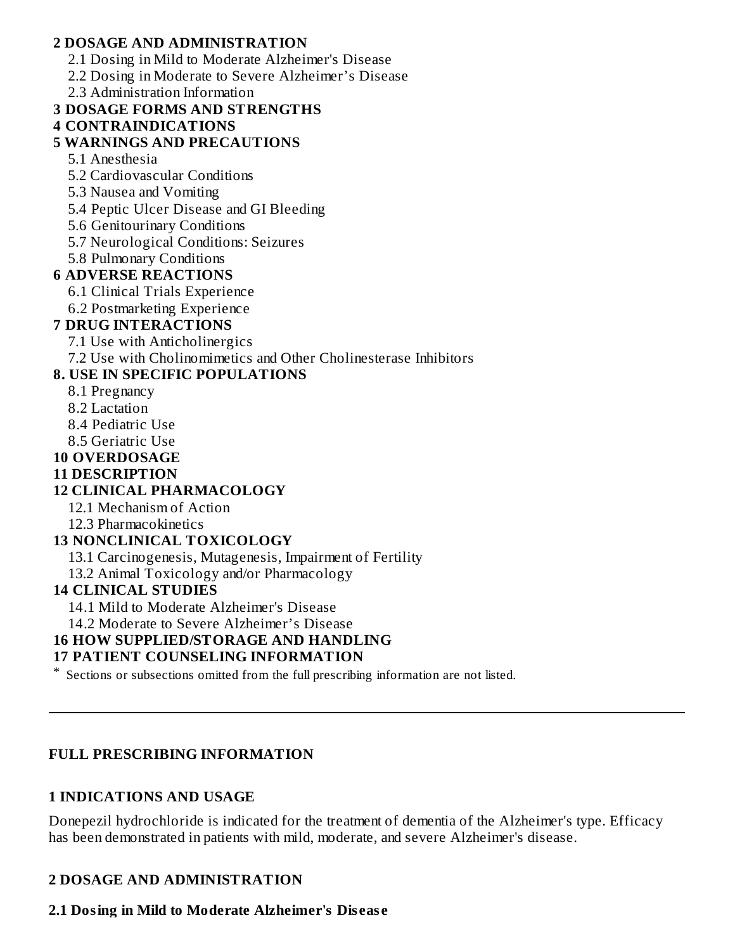#### **2 DOSAGE AND ADMINISTRATION**

- 2.1 Dosing in Mild to Moderate Alzheimer's Disease
- 2.2 Dosing in Moderate to Severe Alzheimer's Disease
- 2.3 Administration Information

### **3 DOSAGE FORMS AND STRENGTHS**

### **4 CONTRAINDICATIONS**

### **5 WARNINGS AND PRECAUTIONS**

- 5.1 Anesthesia
- 5.2 Cardiovascular Conditions
- 5.3 Nausea and Vomiting
- 5.4 Peptic Ulcer Disease and GI Bleeding
- 5.6 Genitourinary Conditions
- 5.7 Neurological Conditions: Seizures
- 5.8 Pulmonary Conditions

### **6 ADVERSE REACTIONS**

- 6.1 Clinical Trials Experience
- 6.2 Postmarketing Experience

#### **7 DRUG INTERACTIONS**

- 7.1 Use with Anticholinergics
- 7.2 Use with Cholinomimetics and Other Cholinesterase Inhibitors

### **8. USE IN SPECIFIC POPULATIONS**

- 8.1 Pregnancy
	- 8.2 Lactation
	- 8.4 Pediatric Use
	- 8.5 Geriatric Use
- **10 OVERDOSAGE**
- **11 DESCRIPTION**

### **12 CLINICAL PHARMACOLOGY**

- 12.1 Mechanism of Action
- 12.3 Pharmacokinetics

#### **13 NONCLINICAL TOXICOLOGY**

13.1 Carcinogenesis, Mutagenesis, Impairment of Fertility

13.2 Animal Toxicology and/or Pharmacology

#### **14 CLINICAL STUDIES**

14.1 Mild to Moderate Alzheimer's Disease

14.2 Moderate to Severe Alzheimer's Disease

#### **16 HOW SUPPLIED/STORAGE AND HANDLING**

#### **17 PATIENT COUNSELING INFORMATION**

\* Sections or subsections omitted from the full prescribing information are not listed.

#### **FULL PRESCRIBING INFORMATION**

#### **1 INDICATIONS AND USAGE**

Donepezil hydrochloride is indicated for the treatment of dementia of the Alzheimer's type. Efficacy has been demonstrated in patients with mild, moderate, and severe Alzheimer's disease.

### **2 DOSAGE AND ADMINISTRATION**

### **2.1 Dosing in Mild to Moderate Alzheimer's Dis eas e**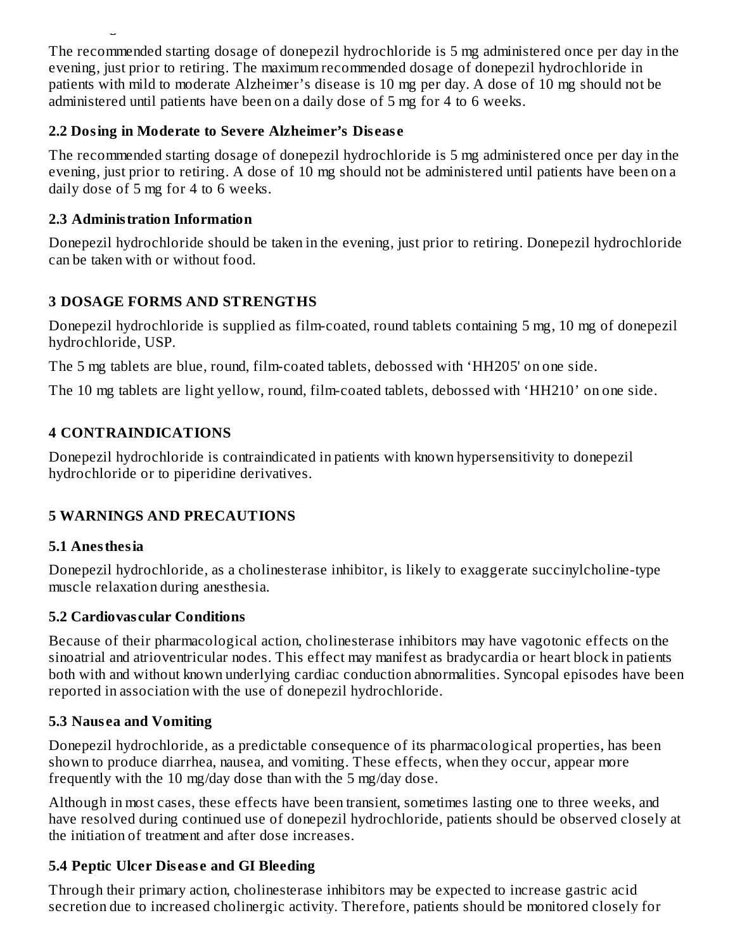The recommended starting dosage of donepezil hydrochloride is 5 mg administered once per day in the evening, just prior to retiring. The maximum recommended dosage of donepezil hydrochloride in patients with mild to moderate Alzheimer's disease is 10 mg per day. A dose of 10 mg should not be administered until patients have been on a daily dose of 5 mg for 4 to 6 weeks.

### **2.2 Dosing in Moderate to Severe Alzheimer's Dis eas e**

**2.1 Dosing in Mild to Moderate Alzheimer's Dis eas e**

The recommended starting dosage of donepezil hydrochloride is 5 mg administered once per day in the evening, just prior to retiring. A dose of 10 mg should not be administered until patients have been on a daily dose of 5 mg for 4 to 6 weeks.

### **2.3 Administration Information**

Donepezil hydrochloride should be taken in the evening, just prior to retiring. Donepezil hydrochloride can be taken with or without food.

## **3 DOSAGE FORMS AND STRENGTHS**

Donepezil hydrochloride is supplied as film-coated, round tablets containing 5 mg, 10 mg of donepezil hydrochloride, USP.

The 5 mg tablets are blue, round, film-coated tablets, debossed with 'HH205' on one side.

The 10 mg tablets are light yellow, round, film-coated tablets, debossed with 'HH210' on one side.

# **4 CONTRAINDICATIONS**

Donepezil hydrochloride is contraindicated in patients with known hypersensitivity to donepezil hydrochloride or to piperidine derivatives.

### **5 WARNINGS AND PRECAUTIONS**

### **5.1 Anesthesia**

Donepezil hydrochloride, as a cholinesterase inhibitor, is likely to exaggerate succinylcholine-type muscle relaxation during anesthesia.

### **5.2 Cardiovas cular Conditions**

Because of their pharmacological action, cholinesterase inhibitors may have vagotonic effects on the sinoatrial and atrioventricular nodes. This effect may manifest as bradycardia or heart block in patients both with and without known underlying cardiac conduction abnormalities. Syncopal episodes have been reported in association with the use of donepezil hydrochloride.

### **5.3 Naus ea and Vomiting**

Donepezil hydrochloride, as a predictable consequence of its pharmacological properties, has been shown to produce diarrhea, nausea, and vomiting. These effects, when they occur, appear more frequently with the 10 mg/day dose than with the 5 mg/day dose.

Although in most cases, these effects have been transient, sometimes lasting one to three weeks, and have resolved during continued use of donepezil hydrochloride, patients should be observed closely at the initiation of treatment and after dose increases.

# **5.4 Peptic Ulcer Dis eas e and GI Bleeding**

Through their primary action, cholinesterase inhibitors may be expected to increase gastric acid secretion due to increased cholinergic activity. Therefore, patients should be monitored closely for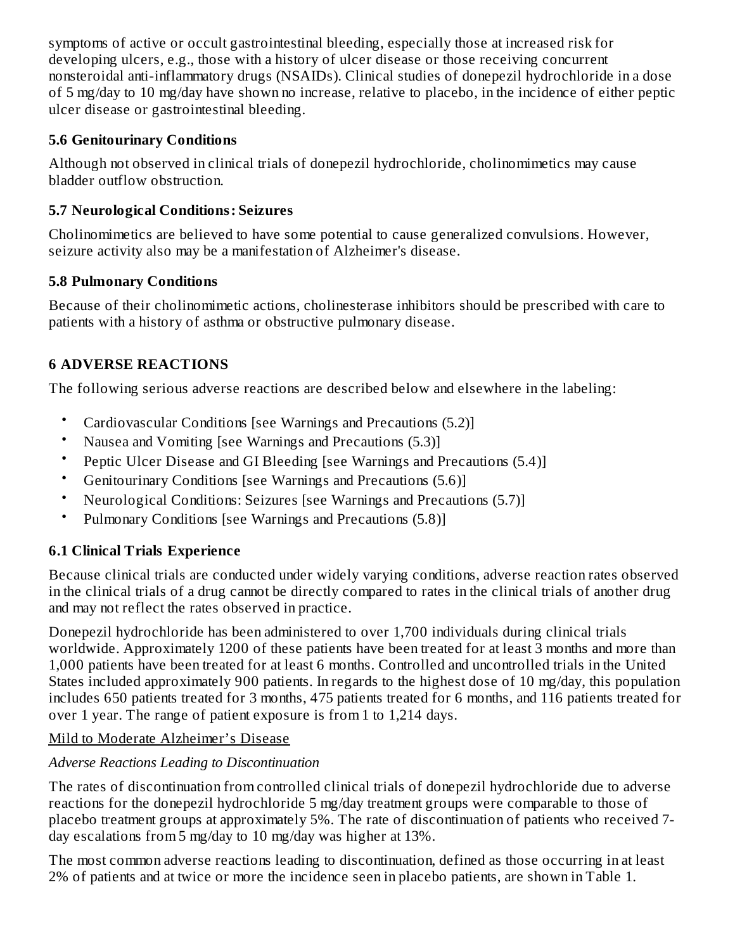symptoms of active or occult gastrointestinal bleeding, especially those at increased risk for developing ulcers, e.g., those with a history of ulcer disease or those receiving concurrent nonsteroidal anti-inflammatory drugs (NSAIDs). Clinical studies of donepezil hydrochloride in a dose of 5 mg/day to 10 mg/day have shown no increase, relative to placebo, in the incidence of either peptic ulcer disease or gastrointestinal bleeding.

### **5.6 Genitourinary Conditions**

Although not observed in clinical trials of donepezil hydrochloride, cholinomimetics may cause bladder outflow obstruction.

## **5.7 Neurological Conditions: Seizures**

Cholinomimetics are believed to have some potential to cause generalized convulsions. However, seizure activity also may be a manifestation of Alzheimer's disease.

### **5.8 Pulmonary Conditions**

Because of their cholinomimetic actions, cholinesterase inhibitors should be prescribed with care to patients with a history of asthma or obstructive pulmonary disease.

### **6 ADVERSE REACTIONS**

The following serious adverse reactions are described below and elsewhere in the labeling:

- Cardiovascular Conditions [see Warnings and Precautions (5.2)]
- Nausea and Vomiting [see Warnings and Precautions (5.3)]
- Peptic Ulcer Disease and GI Bleeding [see Warnings and Precautions (5.4)]
- Genitourinary Conditions [see Warnings and Precautions (5.6)]
- Neurological Conditions: Seizures [see Warnings and Precautions (5.7)]
- Pulmonary Conditions [see Warnings and Precautions (5.8)]

### **6.1 Clinical Trials Experience**

Because clinical trials are conducted under widely varying conditions, adverse reaction rates observed in the clinical trials of a drug cannot be directly compared to rates in the clinical trials of another drug and may not reflect the rates observed in practice.

Donepezil hydrochloride has been administered to over 1,700 individuals during clinical trials worldwide. Approximately 1200 of these patients have been treated for at least 3 months and more than 1,000 patients have been treated for at least 6 months. Controlled and uncontrolled trials in the United States included approximately 900 patients. In regards to the highest dose of 10 mg/day, this population includes 650 patients treated for 3 months, 475 patients treated for 6 months, and 116 patients treated for over 1 year. The range of patient exposure is from 1 to 1,214 days.

### Mild to Moderate Alzheimer's Disease

### *Adverse Reactions Leading to Discontinuation*

The rates of discontinuation from controlled clinical trials of donepezil hydrochloride due to adverse reactions for the donepezil hydrochloride 5 mg/day treatment groups were comparable to those of placebo treatment groups at approximately 5%. The rate of discontinuation of patients who received 7 day escalations from 5 mg/day to 10 mg/day was higher at 13%.

The most common adverse reactions leading to discontinuation, defined as those occurring in at least 2% of patients and at twice or more the incidence seen in placebo patients, are shown in Table 1.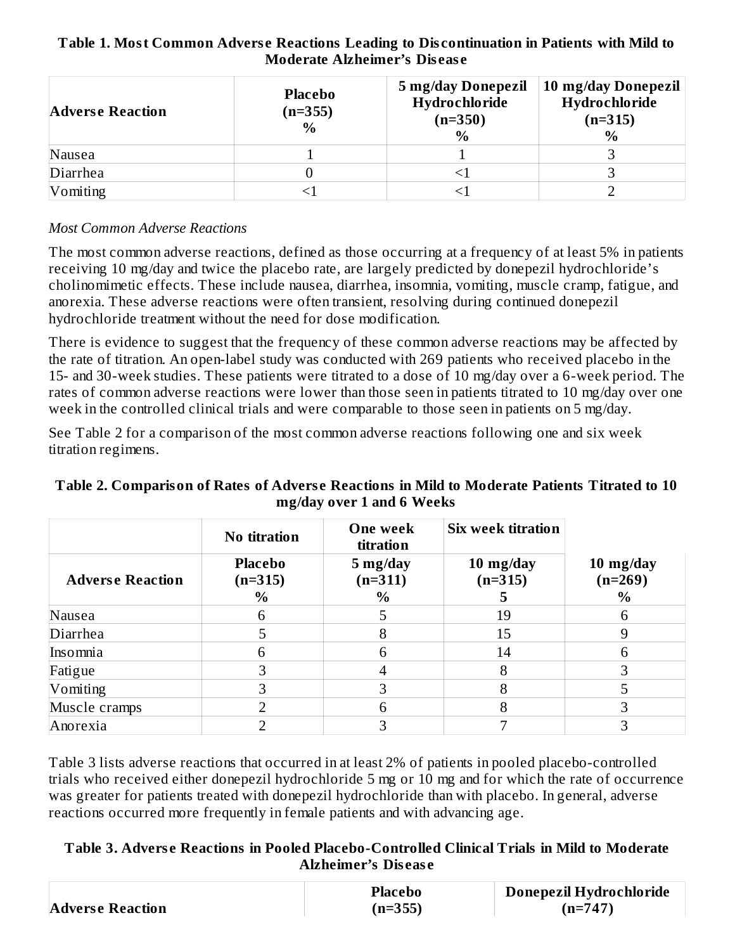#### **Table 1. Most Common Advers e Reactions Leading to Dis continuation in Patients with Mild to Moderate Alzheimer's Dis eas e**

| <b>Adverse Reaction</b> | <b>Placebo</b><br>(n=355)<br>$\frac{0}{0}$ | 5 mg/day Donepezil<br>Hydrochloride<br>$(n=350)$<br>$\%$ | 10 mg/day Donepezil<br>Hydrochloride<br>$(n=315)$<br>$\frac{0}{0}$ |
|-------------------------|--------------------------------------------|----------------------------------------------------------|--------------------------------------------------------------------|
| Nausea                  |                                            |                                                          |                                                                    |
| Diarrhea                |                                            |                                                          |                                                                    |
| Vomiting                |                                            |                                                          |                                                                    |

#### *Most Common Adverse Reactions*

The most common adverse reactions, defined as those occurring at a frequency of at least 5% in patients receiving 10 mg/day and twice the placebo rate, are largely predicted by donepezil hydrochloride's cholinomimetic effects. These include nausea, diarrhea, insomnia, vomiting, muscle cramp, fatigue, and anorexia. These adverse reactions were often transient, resolving during continued donepezil hydrochloride treatment without the need for dose modification.

There is evidence to suggest that the frequency of these common adverse reactions may be affected by the rate of titration. An open-label study was conducted with 269 patients who received placebo in the 15- and 30-week studies. These patients were titrated to a dose of 10 mg/day over a 6-week period. The rates of common adverse reactions were lower than those seen in patients titrated to 10 mg/day over one week in the controlled clinical trials and were comparable to those seen in patients on 5 mg/day.

See Table 2 for a comparison of the most common adverse reactions following one and six week titration regimens.

#### **Table 2. Comparison of Rates of Advers e Reactions in Mild to Moderate Patients Titrated to 10 mg/day over 1 and 6 Weeks**

|                         | No titration                        | One week<br>titration         | Six week titration     |                                |
|-------------------------|-------------------------------------|-------------------------------|------------------------|--------------------------------|
| <b>Adverse Reaction</b> | <b>Placebo</b><br>$(n=315)$<br>$\%$ | 5 mg/day<br>$(n=311)$<br>$\%$ | 10 mg/day<br>$(n=315)$ | 10 mg/day<br>$(n=269)$<br>$\%$ |
| Nausea                  | h                                   | 5                             | 19                     | 6                              |
| Diarrhea                |                                     |                               | 15                     | 9                              |
| Insomnia                | h                                   | 6                             | 14                     | 6                              |
| Fatigue                 |                                     |                               | 8                      | 3                              |
| Vomiting                |                                     |                               | 8                      |                                |
| Muscle cramps           |                                     |                               |                        |                                |
| Anorexia                |                                     |                               |                        |                                |

Table 3 lists adverse reactions that occurred in at least 2% of patients in pooled placebo-controlled trials who received either donepezil hydrochloride 5 mg or 10 mg and for which the rate of occurrence was greater for patients treated with donepezil hydrochloride than with placebo. In general, adverse reactions occurred more frequently in female patients and with advancing age.

#### **Table 3. Advers e Reactions in Pooled Placebo-Controlled Clinical Trials in Mild to Moderate Alzheimer's Dis eas e**

|                         | Placebo   | Donepezil Hydrochloride |
|-------------------------|-----------|-------------------------|
| <b>Adverse Reaction</b> | $(n=355)$ | $(n=747)$               |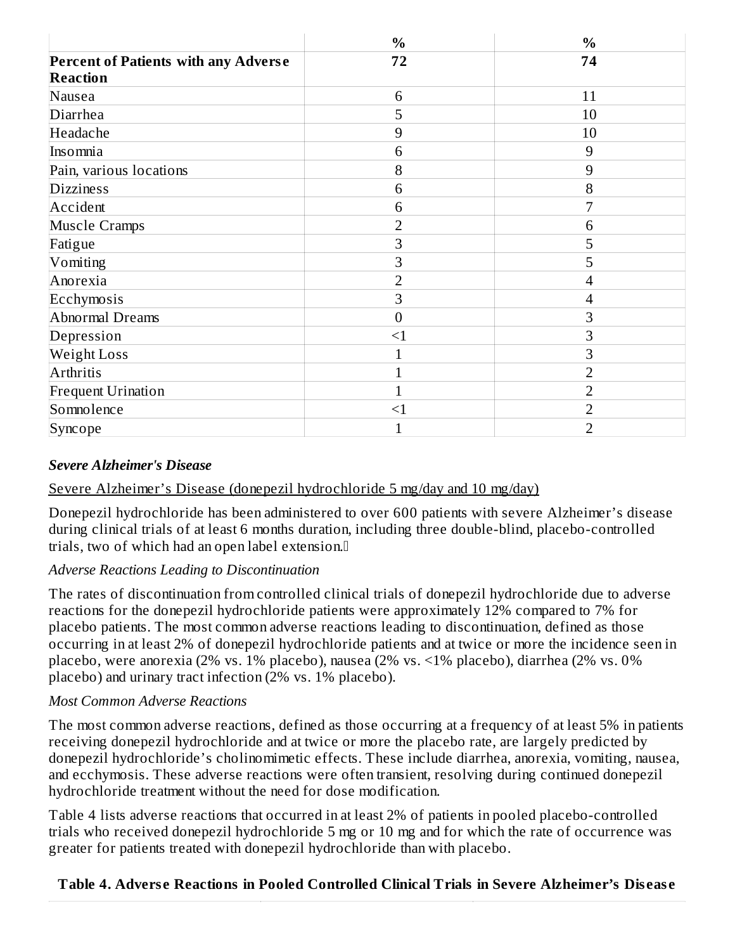|                                             | $\frac{0}{0}$    | $\frac{0}{0}$  |
|---------------------------------------------|------------------|----------------|
| <b>Percent of Patients with any Adverse</b> | 72               | 74             |
| <b>Reaction</b>                             |                  |                |
| Nausea                                      | 6                | 11             |
| Diarrhea                                    | 5                | 10             |
| Headache                                    | 9                | 10             |
| Insomnia                                    | 6                | 9              |
| Pain, various locations                     | 8                | 9              |
| <b>Dizziness</b>                            | 6                | 8              |
| Accident                                    | 6                | 7              |
| <b>Muscle Cramps</b>                        | $\overline{2}$   | 6              |
| Fatigue                                     | 3                | 5              |
| Vomiting                                    | 3                | 5              |
| Anorexia                                    | $\overline{2}$   | 4              |
| Ecchymosis                                  | 3                | 4              |
| Abnormal Dreams                             | $\boldsymbol{0}$ | 3              |
| Depression                                  | $\leq$ 1         | 3              |
| <b>Weight Loss</b>                          | 1                | 3              |
| Arthritis                                   | $\mathbf 1$      | $\overline{2}$ |
| <b>Frequent Urination</b>                   | 1                | $\overline{2}$ |
| Somnolence                                  | $\leq$ 1         | $\overline{2}$ |
| Syncope                                     | 1                | $\overline{2}$ |

#### *Severe Alzheimer's Disease*

#### Severe Alzheimer's Disease (donepezil hydrochloride 5 mg/day and 10 mg/day)

Donepezil hydrochloride has been administered to over 600 patients with severe Alzheimer's disease during clinical trials of at least 6 months duration, including three double-blind, placebo-controlled trials, two of which had an open label extension.

#### *Adverse Reactions Leading to Discontinuation*

The rates of discontinuation from controlled clinical trials of donepezil hydrochloride due to adverse reactions for the donepezil hydrochloride patients were approximately 12% compared to 7% for placebo patients. The most common adverse reactions leading to discontinuation, defined as those occurring in at least 2% of donepezil hydrochloride patients and at twice or more the incidence seen in placebo, were anorexia (2% vs. 1% placebo), nausea (2% vs. <1% placebo), diarrhea (2% vs. 0% placebo) and urinary tract infection (2% vs. 1% placebo).

#### *Most Common Adverse Reactions*

The most common adverse reactions, defined as those occurring at a frequency of at least 5% in patients receiving donepezil hydrochloride and at twice or more the placebo rate, are largely predicted by donepezil hydrochloride's cholinomimetic effects. These include diarrhea, anorexia, vomiting, nausea, and ecchymosis. These adverse reactions were often transient, resolving during continued donepezil hydrochloride treatment without the need for dose modification.

Table 4 lists adverse reactions that occurred in at least 2% of patients in pooled placebo-controlled trials who received donepezil hydrochloride 5 mg or 10 mg and for which the rate of occurrence was greater for patients treated with donepezil hydrochloride than with placebo.

#### **Table 4. Advers e Reactions in Pooled Controlled Clinical Trials in Severe Alzheimer's Dis eas e**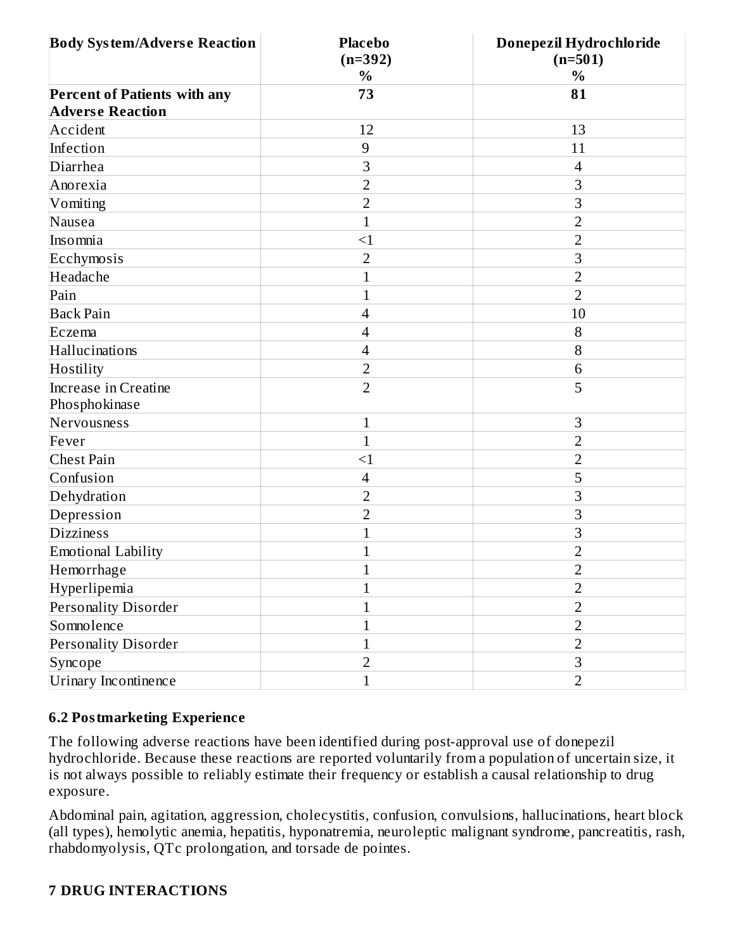| <b>Body System/Adverse Reaction</b>                            | <b>Placebo</b><br>$(n=392)$ | Donepezil Hydrochloride<br>$(n=501)$ |
|----------------------------------------------------------------|-----------------------------|--------------------------------------|
|                                                                | $\%$                        | $\%$                                 |
| <b>Percent of Patients with any</b><br><b>Adverse Reaction</b> | 73                          | 81                                   |
| Accident                                                       | 12                          | 13                                   |
| Infection                                                      | $\overline{9}$              | 11                                   |
| Diarrhea                                                       | 3                           | $\overline{4}$                       |
| Anorexia                                                       | 2                           | 3                                    |
| Vomiting                                                       | $\overline{2}$              | 3                                    |
| Nausea                                                         | $\mathbf{1}$                | $\overline{2}$                       |
| Insomnia                                                       | $\leq$ 1                    | $\overline{2}$                       |
| Ecchymosis                                                     | $\overline{2}$              | 3                                    |
| Headache                                                       | $\mathbf{1}$                | $\overline{2}$                       |
| Pain                                                           | $\mathbf{1}$                | $\overline{2}$                       |
| <b>Back Pain</b>                                               | $\overline{\mathcal{A}}$    | 10                                   |
| Eczema                                                         | $\overline{4}$              | 8                                    |
| Hallucinations                                                 | 4                           | 8                                    |
| Hostility                                                      | $\overline{2}$              | 6                                    |
| Increase in Creatine<br>Phosphokinase                          | $\overline{2}$              | 5                                    |
| Nervousness                                                    | $\mathbf{1}$                | $\mathsf 3$                          |
| Fever                                                          | $\mathbf{1}$                | $\overline{2}$                       |
| Chest Pain                                                     | $\leq$ 1                    | $\overline{2}$                       |
| Confusion                                                      | $\overline{\mathcal{A}}$    | 5                                    |
| Dehydration                                                    | $\overline{2}$              | 3                                    |
| Depression                                                     | $\overline{2}$              | 3                                    |
| <b>Dizziness</b>                                               | $\mathbf 1$                 | 3                                    |
| Emotional Lability                                             | $\mathbf{1}$                | $\overline{2}$                       |
| Hemorrhage                                                     | $\,1\,$                     | $\overline{\mathbf{c}}$              |
| Hyperlipemia                                                   | 1                           | $\overline{2}$                       |
| Personality Disorder                                           | $\mathbf{1}$                | $\overline{2}$                       |
| Somnolence                                                     | 1                           | $\overline{2}$                       |
| <b>Personality Disorder</b>                                    | $\mathbf{1}$                | $\overline{2}$                       |
| Syncope                                                        | $\overline{2}$              | $\mathbf{3}$                         |
| Urinary Incontinence                                           | $\mathbf{1}$                | $\overline{2}$                       |

#### **6.2 Postmarketing Experience**

The following adverse reactions have been identified during post-approval use of donepezil hydrochloride. Because these reactions are reported voluntarily from a population of uncertain size, it is not always possible to reliably estimate their frequency or establish a causal relationship to drug exposure.

Abdominal pain, agitation, aggression, cholecystitis, confusion, convulsions, hallucinations, heart block (all types), hemolytic anemia, hepatitis, hyponatremia, neuroleptic malignant syndrome, pancreatitis, rash, rhabdomyolysis, QTc prolongation, and torsade de pointes.

#### **7 DRUG INTERACTIONS**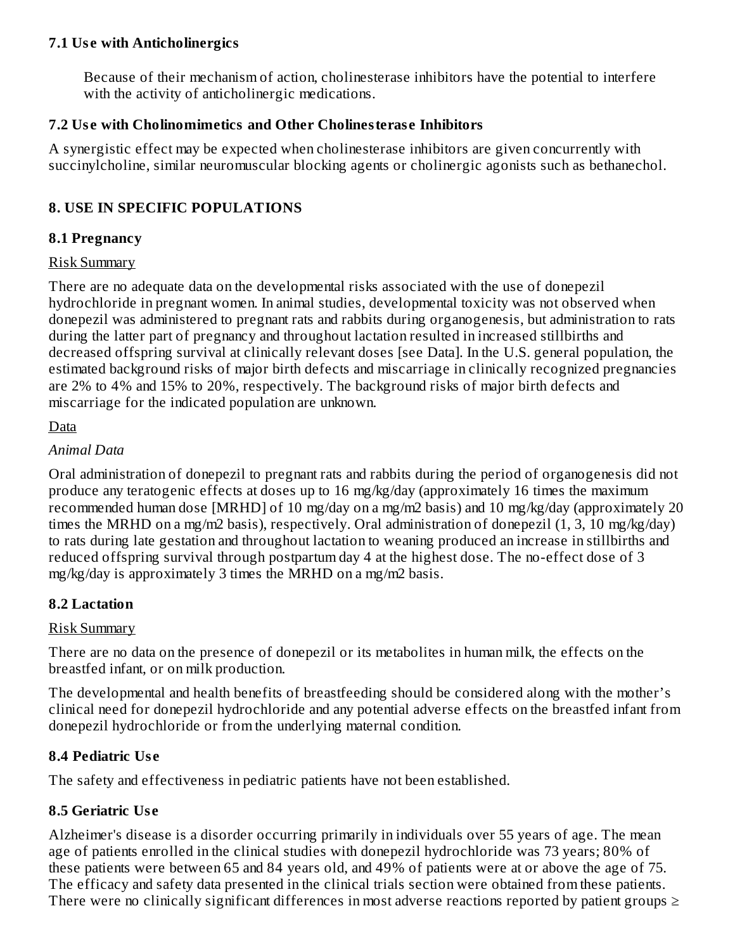#### **7.1 Us e with Anticholinergics**

Because of their mechanism of action, cholinesterase inhibitors have the potential to interfere with the activity of anticholinergic medications.

#### **7.2 Us e with Cholinomimetics and Other Cholinesteras e Inhibitors**

A synergistic effect may be expected when cholinesterase inhibitors are given concurrently with succinylcholine, similar neuromuscular blocking agents or cholinergic agonists such as bethanechol.

### **8. USE IN SPECIFIC POPULATIONS**

#### **8.1 Pregnancy**

#### Risk Summary

There are no adequate data on the developmental risks associated with the use of donepezil hydrochloride in pregnant women. In animal studies, developmental toxicity was not observed when donepezil was administered to pregnant rats and rabbits during organogenesis, but administration to rats during the latter part of pregnancy and throughout lactation resulted in increased stillbirths and decreased offspring survival at clinically relevant doses [see Data]. In the U.S. general population, the estimated background risks of major birth defects and miscarriage in clinically recognized pregnancies are 2% to 4% and 15% to 20%, respectively. The background risks of major birth defects and miscarriage for the indicated population are unknown.

#### Data

#### *Animal Data*

Oral administration of donepezil to pregnant rats and rabbits during the period of organogenesis did not produce any teratogenic effects at doses up to 16 mg/kg/day (approximately 16 times the maximum recommended human dose [MRHD] of 10 mg/day on a mg/m2 basis) and 10 mg/kg/day (approximately 20 times the MRHD on a mg/m2 basis), respectively. Oral administration of donepezil (1, 3, 10 mg/kg/day) to rats during late gestation and throughout lactation to weaning produced an increase in stillbirths and reduced offspring survival through postpartum day 4 at the highest dose. The no-effect dose of 3 mg/kg/day is approximately 3 times the MRHD on a mg/m2 basis.

#### **8.2 Lactation**

#### Risk Summary

There are no data on the presence of donepezil or its metabolites in human milk, the effects on the breastfed infant, or on milk production.

The developmental and health benefits of breastfeeding should be considered along with the mother's clinical need for donepezil hydrochloride and any potential adverse effects on the breastfed infant from donepezil hydrochloride or from the underlying maternal condition.

#### **8.4 Pediatric Us e**

The safety and effectiveness in pediatric patients have not been established.

#### **8.5 Geriatric Us e**

Alzheimer's disease is a disorder occurring primarily in individuals over 55 years of age. The mean age of patients enrolled in the clinical studies with donepezil hydrochloride was 73 years; 80% of these patients were between 65 and 84 years old, and 49% of patients were at or above the age of 75. The efficacy and safety data presented in the clinical trials section were obtained from these patients. There were no clinically significant differences in most adverse reactions reported by patient groups  $\geq$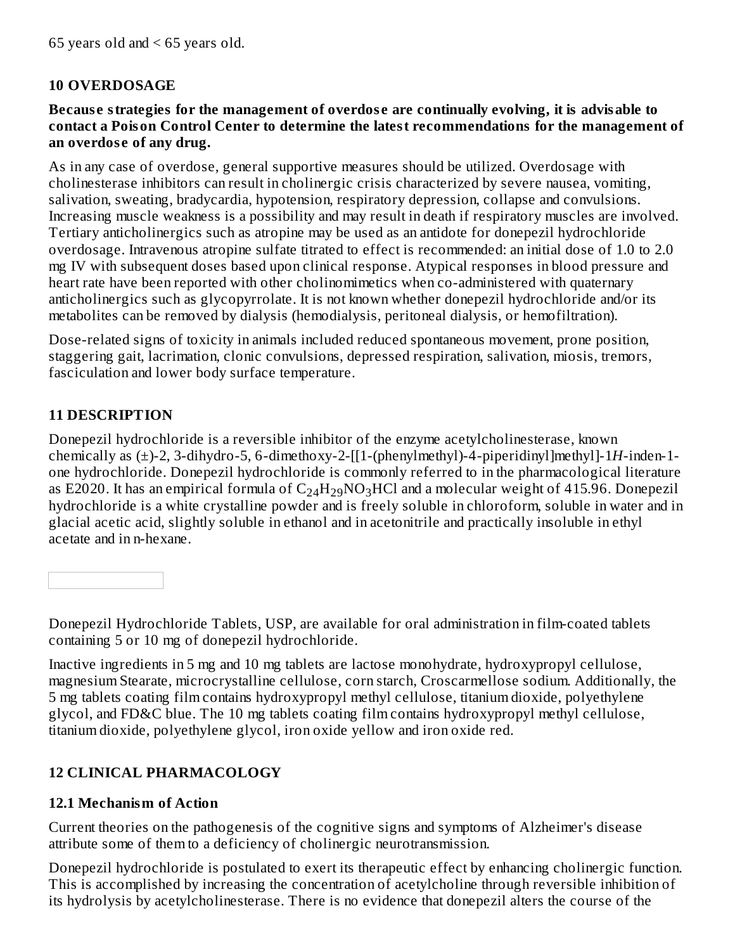### **10 OVERDOSAGE**

#### **Becaus e strategies for the management of overdos e are continually evolving, it is advisable to contact a Poison Control Center to determine the latest recommendations for the management of an overdos e of any drug.**

As in any case of overdose, general supportive measures should be utilized. Overdosage with cholinesterase inhibitors can result in cholinergic crisis characterized by severe nausea, vomiting, salivation, sweating, bradycardia, hypotension, respiratory depression, collapse and convulsions. Increasing muscle weakness is a possibility and may result in death if respiratory muscles are involved. Tertiary anticholinergics such as atropine may be used as an antidote for donepezil hydrochloride overdosage. Intravenous atropine sulfate titrated to effect is recommended: an initial dose of 1.0 to 2.0 mg IV with subsequent doses based upon clinical response. Atypical responses in blood pressure and heart rate have been reported with other cholinomimetics when co-administered with quaternary anticholinergics such as glycopyrrolate. It is not known whether donepezil hydrochloride and/or its metabolites can be removed by dialysis (hemodialysis, peritoneal dialysis, or hemofiltration).

Dose-related signs of toxicity in animals included reduced spontaneous movement, prone position, staggering gait, lacrimation, clonic convulsions, depressed respiration, salivation, miosis, tremors, fasciculation and lower body surface temperature.

## **11 DESCRIPTION**

Donepezil hydrochloride is a reversible inhibitor of the enzyme acetylcholinesterase, known chemically as (±)-2, 3-dihydro-5, 6-dimethoxy-2-[[1-(phenylmethyl)-4-piperidinyl]methyl]-1*H*-inden-1 one hydrochloride. Donepezil hydrochloride is commonly referred to in the pharmacological literature as E2020. It has an empirical formula of  $\rm{C_{24}H_{29}NO_{3}HCl}$  and a molecular weight of 415.96. Donepezil hydrochloride is a white crystalline powder and is freely soluble in chloroform, soluble in water and in glacial acetic acid, slightly soluble in ethanol and in acetonitrile and practically insoluble in ethyl acetate and in n-hexane.

Donepezil Hydrochloride Tablets, USP, are available for oral administration in film-coated tablets containing 5 or 10 mg of donepezil hydrochloride.

Inactive ingredients in 5 mg and 10 mg tablets are lactose monohydrate, hydroxypropyl cellulose, magnesium Stearate, microcrystalline cellulose, corn starch, Croscarmellose sodium. Additionally, the 5 mg tablets coating film contains hydroxypropyl methyl cellulose, titanium dioxide, polyethylene glycol, and FD&C blue. The 10 mg tablets coating film contains hydroxypropyl methyl cellulose, titanium dioxide, polyethylene glycol, iron oxide yellow and iron oxide red.

# **12 CLINICAL PHARMACOLOGY**

### **12.1 Mechanism of Action**

Current theories on the pathogenesis of the cognitive signs and symptoms of Alzheimer's disease attribute some of them to a deficiency of cholinergic neurotransmission.

Donepezil hydrochloride is postulated to exert its therapeutic effect by enhancing cholinergic function. This is accomplished by increasing the concentration of acetylcholine through reversible inhibition of its hydrolysis by acetylcholinesterase. There is no evidence that donepezil alters the course of the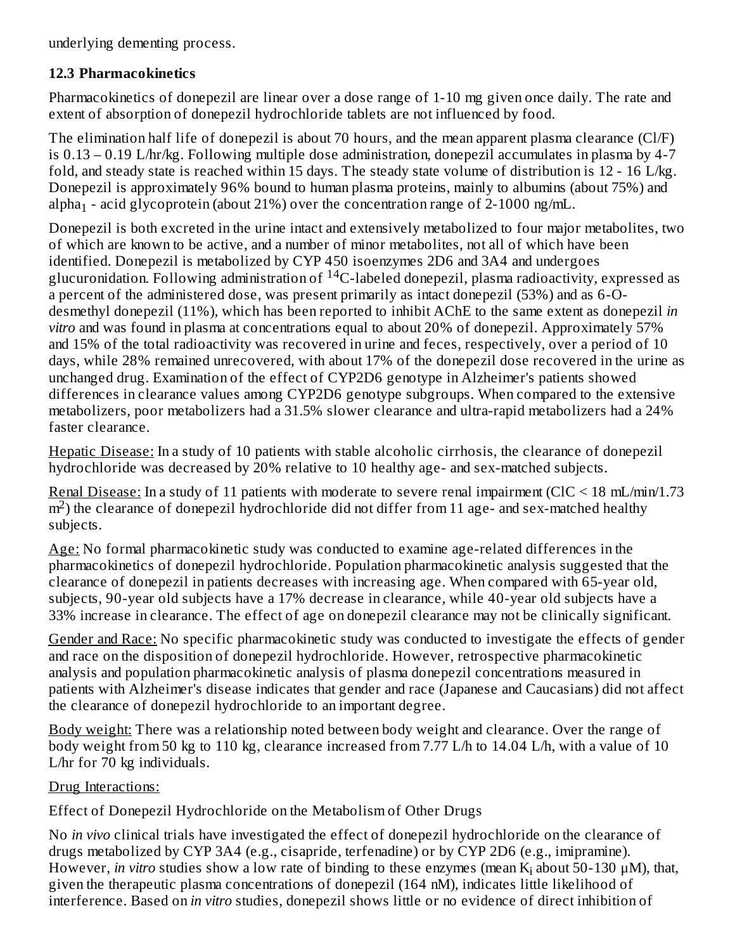underlying dementing process.

### **12.3 Pharmacokinetics**

Pharmacokinetics of donepezil are linear over a dose range of 1-10 mg given once daily. The rate and extent of absorption of donepezil hydrochloride tablets are not influenced by food.

The elimination half life of donepezil is about 70 hours, and the mean apparent plasma clearance (Cl/F) is 0.13 – 0.19 L/hr/kg. Following multiple dose administration, donepezil accumulates in plasma by 4-7 fold, and steady state is reached within 15 days. The steady state volume of distribution is 12 - 16 L/kg. Donepezil is approximately 96% bound to human plasma proteins, mainly to albumins (about 75%) and alpha $_1$  - acid glycoprotein (about 21%) over the concentration range of 2-1000 ng/mL.

Donepezil is both excreted in the urine intact and extensively metabolized to four major metabolites, two of which are known to be active, and a number of minor metabolites, not all of which have been identified. Donepezil is metabolized by CYP 450 isoenzymes 2D6 and 3A4 and undergoes glucuronidation. Following administration of  $^{14}$ C-labeled donepezil, plasma radioactivity, expressed as a percent of the administered dose, was present primarily as intact donepezil (53%) and as 6-Odesmethyl donepezil (11%), which has been reported to inhibit AChE to the same extent as donepezil *in vitro* and was found in plasma at concentrations equal to about 20% of donepezil. Approximately 57% and 15% of the total radioactivity was recovered in urine and feces, respectively, over a period of 10 days, while 28% remained unrecovered, with about 17% of the donepezil dose recovered in the urine as unchanged drug. Examination of the effect of CYP2D6 genotype in Alzheimer's patients showed differences in clearance values among CYP2D6 genotype subgroups. When compared to the extensive metabolizers, poor metabolizers had a 31.5% slower clearance and ultra-rapid metabolizers had a 24% faster clearance.

Hepatic Disease: In a study of 10 patients with stable alcoholic cirrhosis, the clearance of donepezil hydrochloride was decreased by 20% relative to 10 healthy age- and sex-matched subjects.

Renal Disease: In a study of 11 patients with moderate to severe renal impairment (ClC < 18 mL/min/1.73  $m<sup>2</sup>$ ) the clearance of donepezil hydrochloride did not differ from 11 age- and sex-matched healthy subjects.

Age: No formal pharmacokinetic study was conducted to examine age-related differences in the pharmacokinetics of donepezil hydrochloride. Population pharmacokinetic analysis suggested that the clearance of donepezil in patients decreases with increasing age. When compared with 65-year old, subjects, 90-year old subjects have a 17% decrease in clearance, while 40-year old subjects have a 33% increase in clearance. The effect of age on donepezil clearance may not be clinically significant.

Gender and Race: No specific pharmacokinetic study was conducted to investigate the effects of gender and race on the disposition of donepezil hydrochloride. However, retrospective pharmacokinetic analysis and population pharmacokinetic analysis of plasma donepezil concentrations measured in patients with Alzheimer's disease indicates that gender and race (Japanese and Caucasians) did not affect the clearance of donepezil hydrochloride to an important degree.

Body weight: There was a relationship noted between body weight and clearance. Over the range of body weight from 50 kg to 110 kg, clearance increased from 7.77 L/h to 14.04 L/h, with a value of 10 L/hr for 70 kg individuals.

Drug Interactions:

Effect of Donepezil Hydrochloride on the Metabolism of Other Drugs

No *in vivo* clinical trials have investigated the effect of donepezil hydrochloride on the clearance of drugs metabolized by CYP 3A4 (e.g., cisapride, terfenadine) or by CYP 2D6 (e.g., imipramine). However, *in vitro* studies show a low rate of binding to these enzymes (mean K<sub>i</sub> about 50-130 μM), that, given the therapeutic plasma concentrations of donepezil (164 nM), indicates little likelihood of interference. Based on *in vitro* studies, donepezil shows little or no evidence of direct inhibition of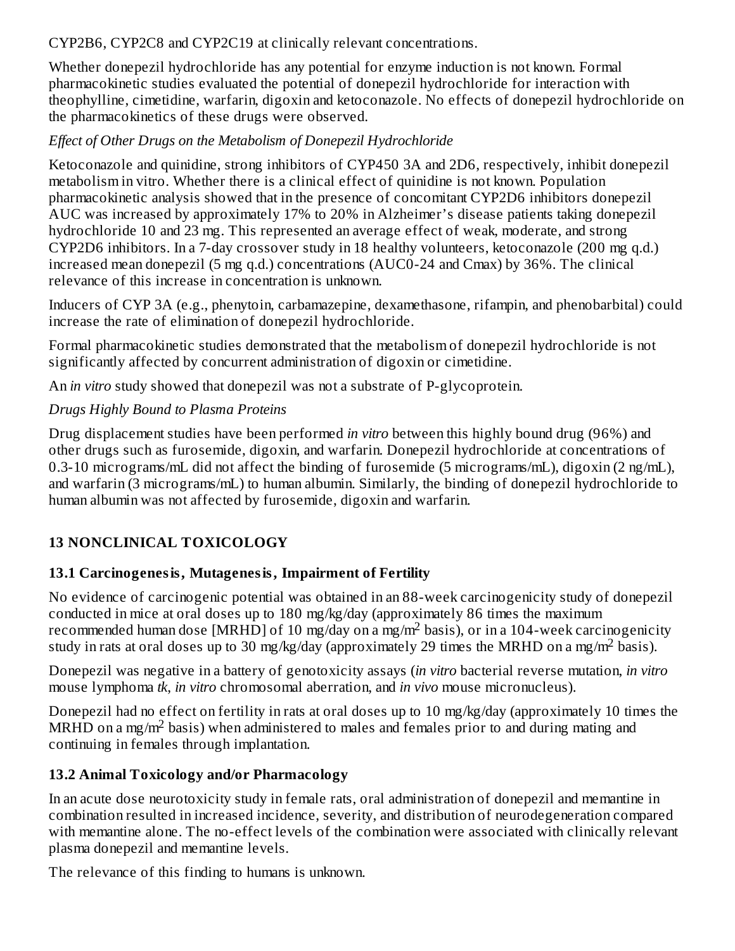CYP2B6, CYP2C8 and CYP2C19 at clinically relevant concentrations.

Whether donepezil hydrochloride has any potential for enzyme induction is not known. Formal pharmacokinetic studies evaluated the potential of donepezil hydrochloride for interaction with theophylline, cimetidine, warfarin, digoxin and ketoconazole. No effects of donepezil hydrochloride on the pharmacokinetics of these drugs were observed.

### *Effect of Other Drugs on the Metabolism of Donepezil Hydrochloride*

Ketoconazole and quinidine, strong inhibitors of CYP450 3A and 2D6, respectively, inhibit donepezil metabolism in vitro. Whether there is a clinical effect of quinidine is not known. Population pharmacokinetic analysis showed that in the presence of concomitant CYP2D6 inhibitors donepezil AUC was increased by approximately 17% to 20% in Alzheimer's disease patients taking donepezil hydrochloride 10 and 23 mg. This represented an average effect of weak, moderate, and strong CYP2D6 inhibitors. In a 7-day crossover study in 18 healthy volunteers, ketoconazole (200 mg q.d.) increased mean donepezil (5 mg q.d.) concentrations (AUC0-24 and Cmax) by 36%. The clinical relevance of this increase in concentration is unknown.

Inducers of CYP 3A (e.g., phenytoin, carbamazepine, dexamethasone, rifampin, and phenobarbital) could increase the rate of elimination of donepezil hydrochloride.

Formal pharmacokinetic studies demonstrated that the metabolism of donepezil hydrochloride is not significantly affected by concurrent administration of digoxin or cimetidine.

An *in vitro* study showed that donepezil was not a substrate of P-glycoprotein.

### *Drugs Highly Bound to Plasma Proteins*

Drug displacement studies have been performed *in vitro* between this highly bound drug (96%) and other drugs such as furosemide, digoxin, and warfarin. Donepezil hydrochloride at concentrations of 0.3-10 micrograms/mL did not affect the binding of furosemide (5 micrograms/mL), digoxin (2 ng/mL), and warfarin (3 micrograms/mL) to human albumin. Similarly, the binding of donepezil hydrochloride to human albumin was not affected by furosemide, digoxin and warfarin.

### **13 NONCLINICAL TOXICOLOGY**

### **13.1 Carcinogenesis, Mutagenesis, Impairment of Fertility**

No evidence of carcinogenic potential was obtained in an 88-week carcinogenicity study of donepezil conducted in mice at oral doses up to 180 mg/kg/day (approximately 86 times the maximum recommended human dose [MRHD] of 10 mg/day on a mg/m<sup>2</sup> basis), or in a 104-week carcinogenicity study in rats at oral doses up to 30 mg/kg/day (approximately 29 times the MRHD on a mg/m<sup>2</sup> basis).

Donepezil was negative in a battery of genotoxicity assays (*in vitro* bacterial reverse mutation, *in vitro* mouse lymphoma *tk*, *in vitro* chromosomal aberration, and *in vivo* mouse micronucleus).

Donepezil had no effect on fertility in rats at oral doses up to 10 mg/kg/day (approximately 10 times the MRHD on a mg/m<sup>2</sup> basis) when administered to males and females prior to and during mating and continuing in females through implantation.

### **13.2 Animal Toxicology and/or Pharmacology**

In an acute dose neurotoxicity study in female rats, oral administration of donepezil and memantine in combination resulted in increased incidence, severity, and distribution of neurodegeneration compared with memantine alone. The no-effect levels of the combination were associated with clinically relevant plasma donepezil and memantine levels.

The relevance of this finding to humans is unknown.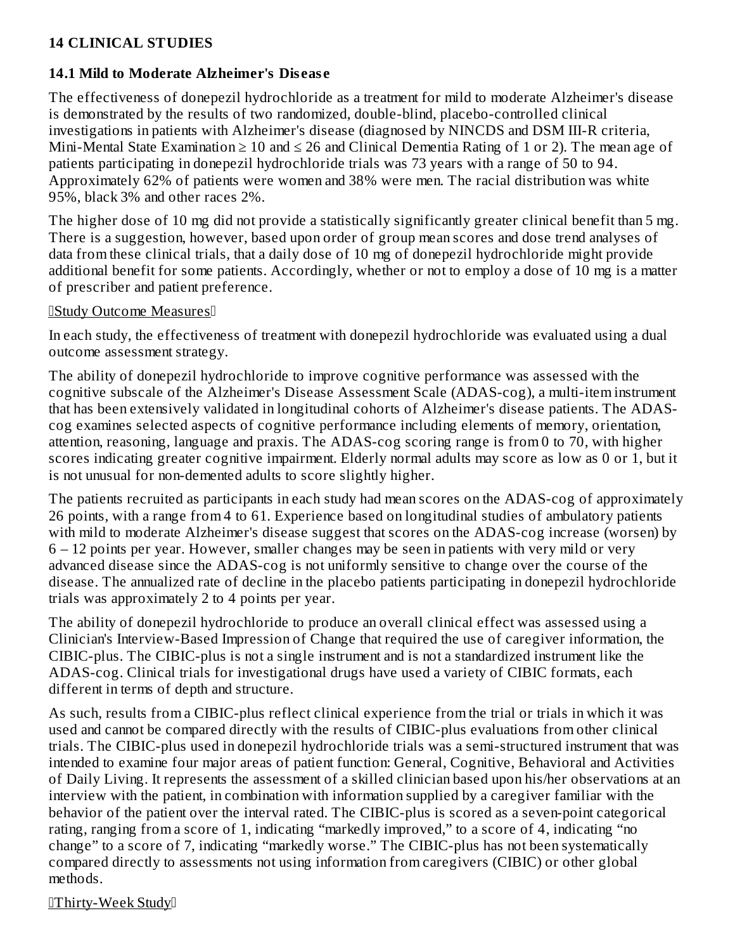### **14 CLINICAL STUDIES**

#### **14.1 Mild to Moderate Alzheimer's Dis eas e**

The effectiveness of donepezil hydrochloride as a treatment for mild to moderate Alzheimer's disease is demonstrated by the results of two randomized, double-blind, placebo-controlled clinical investigations in patients with Alzheimer's disease (diagnosed by NINCDS and DSM III-R criteria, Mini-Mental State Examination  $\geq 10$  and  $\leq 26$  and Clinical Dementia Rating of 1 or 2). The mean age of patients participating in donepezil hydrochloride trials was 73 years with a range of 50 to 94. Approximately 62% of patients were women and 38% were men. The racial distribution was white 95%, black 3% and other races 2%.

The higher dose of 10 mg did not provide a statistically significantly greater clinical benefit than 5 mg. There is a suggestion, however, based upon order of group mean scores and dose trend analyses of data from these clinical trials, that a daily dose of 10 mg of donepezil hydrochloride might provide additional benefit for some patients. Accordingly, whether or not to employ a dose of 10 mg is a matter of prescriber and patient preference.

#### Study Outcome Measures

In each study, the effectiveness of treatment with donepezil hydrochloride was evaluated using a dual outcome assessment strategy.

The ability of donepezil hydrochloride to improve cognitive performance was assessed with the cognitive subscale of the Alzheimer's Disease Assessment Scale (ADAS-cog), a multi-item instrument that has been extensively validated in longitudinal cohorts of Alzheimer's disease patients. The ADAScog examines selected aspects of cognitive performance including elements of memory, orientation, attention, reasoning, language and praxis. The ADAS-cog scoring range is from 0 to 70, with higher scores indicating greater cognitive impairment. Elderly normal adults may score as low as 0 or 1, but it is not unusual for non-demented adults to score slightly higher.

The patients recruited as participants in each study had mean scores on the ADAS-cog of approximately 26 points, with a range from 4 to 61. Experience based on longitudinal studies of ambulatory patients with mild to moderate Alzheimer's disease suggest that scores on the ADAS-cog increase (worsen) by 6 – 12 points per year. However, smaller changes may be seen in patients with very mild or very advanced disease since the ADAS-cog is not uniformly sensitive to change over the course of the disease. The annualized rate of decline in the placebo patients participating in donepezil hydrochloride trials was approximately 2 to 4 points per year.

The ability of donepezil hydrochloride to produce an overall clinical effect was assessed using a Clinician's Interview-Based Impression of Change that required the use of caregiver information, the CIBIC-plus. The CIBIC-plus is not a single instrument and is not a standardized instrument like the ADAS-cog. Clinical trials for investigational drugs have used a variety of CIBIC formats, each different in terms of depth and structure.

As such, results from a CIBIC-plus reflect clinical experience from the trial or trials in which it was used and cannot be compared directly with the results of CIBIC-plus evaluations from other clinical trials. The CIBIC-plus used in donepezil hydrochloride trials was a semi-structured instrument that was intended to examine four major areas of patient function: General, Cognitive, Behavioral and Activities of Daily Living. It represents the assessment of a skilled clinician based upon his/her observations at an interview with the patient, in combination with information supplied by a caregiver familiar with the behavior of the patient over the interval rated. The CIBIC-plus is scored as a seven-point categorical rating, ranging from a score of 1, indicating "markedly improved," to a score of 4, indicating "no change" to a score of 7, indicating "markedly worse." The CIBIC-plus has not been systematically compared directly to assessments not using information from caregivers (CIBIC) or other global methods.

**Thirty-Week Study**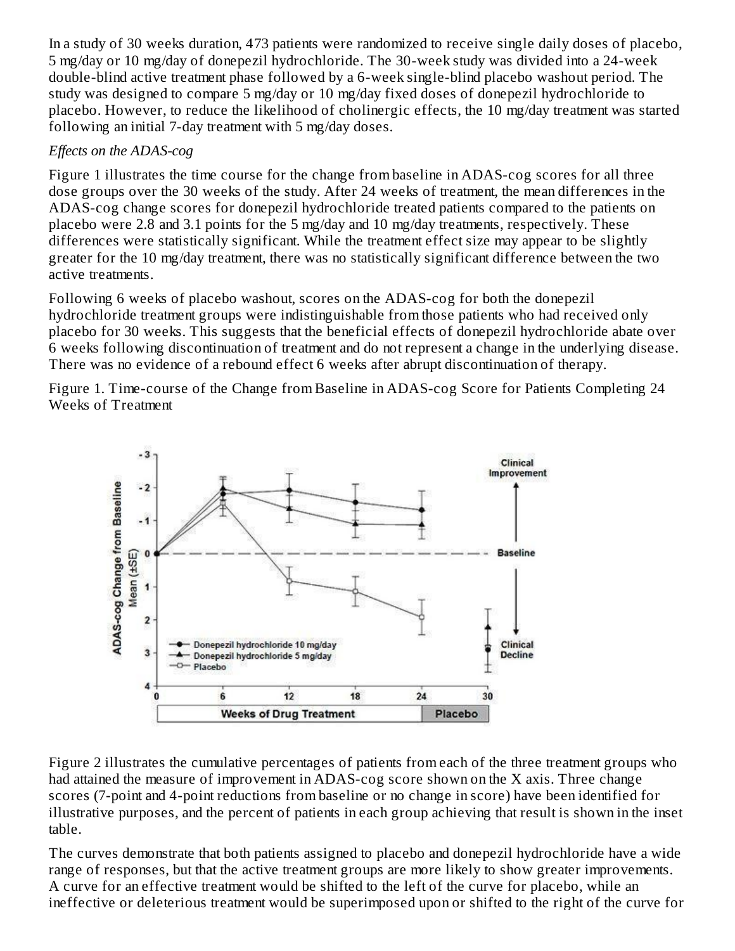In a study of 30 weeks duration, 473 patients were randomized to receive single daily doses of placebo, 5 mg/day or 10 mg/day of donepezil hydrochloride. The 30-week study was divided into a 24-week double-blind active treatment phase followed by a 6-week single-blind placebo washout period. The study was designed to compare 5 mg/day or 10 mg/day fixed doses of donepezil hydrochloride to placebo. However, to reduce the likelihood of cholinergic effects, the 10 mg/day treatment was started following an initial 7-day treatment with 5 mg/day doses.

### *Effects on the ADAS-cog*

Figure 1 illustrates the time course for the change from baseline in ADAS-cog scores for all three dose groups over the 30 weeks of the study. After 24 weeks of treatment, the mean differences in the ADAS-cog change scores for donepezil hydrochloride treated patients compared to the patients on placebo were 2.8 and 3.1 points for the 5 mg/day and 10 mg/day treatments, respectively. These differences were statistically significant. While the treatment effect size may appear to be slightly greater for the 10 mg/day treatment, there was no statistically significant difference between the two active treatments.

Following 6 weeks of placebo washout, scores on the ADAS-cog for both the donepezil hydrochloride treatment groups were indistinguishable from those patients who had received only placebo for 30 weeks. This suggests that the beneficial effects of donepezil hydrochloride abate over 6 weeks following discontinuation of treatment and do not represent a change in the underlying disease. There was no evidence of a rebound effect 6 weeks after abrupt discontinuation of therapy.

Figure 1. Time-course of the Change from Baseline in ADAS-cog Score for Patients Completing 24 Weeks of Treatment



Figure 2 illustrates the cumulative percentages of patients from each of the three treatment groups who had attained the measure of improvement in ADAS-cog score shown on the X axis. Three change scores (7-point and 4-point reductions from baseline or no change in score) have been identified for illustrative purposes, and the percent of patients in each group achieving that result is shown in the inset table.

The curves demonstrate that both patients assigned to placebo and donepezil hydrochloride have a wide range of responses, but that the active treatment groups are more likely to show greater improvements. A curve for an effective treatment would be shifted to the left of the curve for placebo, while an ineffective or deleterious treatment would be superimposed upon or shifted to the right of the curve for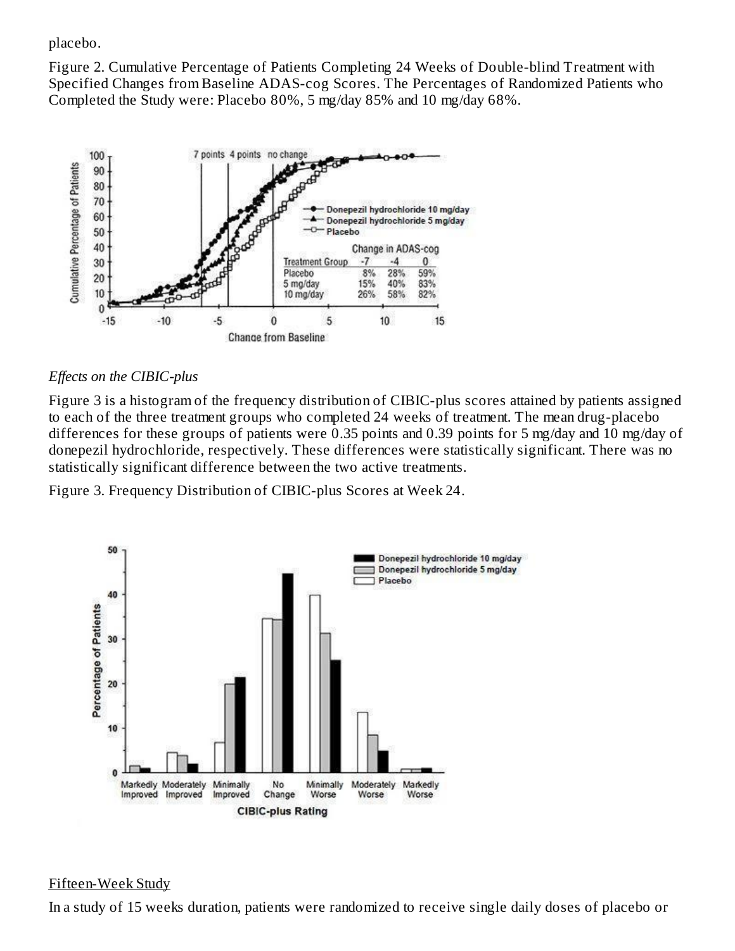placebo.

Figure 2. Cumulative Percentage of Patients Completing 24 Weeks of Double-blind Treatment with Specified Changes from Baseline ADAS-cog Scores. The Percentages of Randomized Patients who Completed the Study were: Placebo 80%, 5 mg/day 85% and 10 mg/day 68%.



### *Effects on the CIBIC-plus*

Figure 3 is a histogram of the frequency distribution of CIBIC-plus scores attained by patients assigned to each of the three treatment groups who completed 24 weeks of treatment. The mean drug-placebo differences for these groups of patients were 0.35 points and 0.39 points for 5 mg/day and 10 mg/day of donepezil hydrochloride, respectively. These differences were statistically significant. There was no statistically significant difference between the two active treatments.

Figure 3. Frequency Distribution of CIBIC-plus Scores at Week 24.



#### Fifteen-Week Study

In a study of 15 weeks duration, patients were randomized to receive single daily doses of placebo or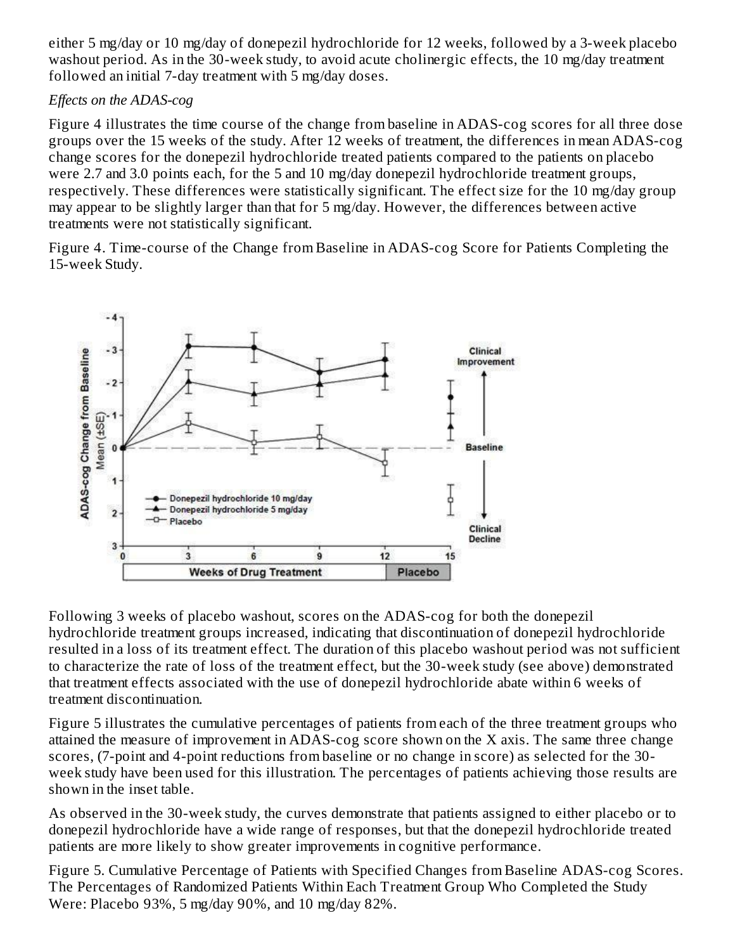either 5 mg/day or 10 mg/day of donepezil hydrochloride for 12 weeks, followed by a 3-week placebo washout period. As in the 30-week study, to avoid acute cholinergic effects, the 10 mg/day treatment followed an initial 7-day treatment with 5 mg/day doses.

### *Effects on the ADAS-cog*

Figure 4 illustrates the time course of the change from baseline in ADAS-cog scores for all three dose groups over the 15 weeks of the study. After 12 weeks of treatment, the differences in mean ADAS-cog change scores for the donepezil hydrochloride treated patients compared to the patients on placebo were 2.7 and 3.0 points each, for the 5 and 10 mg/day donepezil hydrochloride treatment groups, respectively. These differences were statistically significant. The effect size for the 10 mg/day group may appear to be slightly larger than that for 5 mg/day. However, the differences between active treatments were not statistically significant.

Figure 4. Time-course of the Change from Baseline in ADAS-cog Score for Patients Completing the 15-week Study.



Following 3 weeks of placebo washout, scores on the ADAS-cog for both the donepezil hydrochloride treatment groups increased, indicating that discontinuation of donepezil hydrochloride resulted in a loss of its treatment effect. The duration of this placebo washout period was not sufficient to characterize the rate of loss of the treatment effect, but the 30-week study (see above) demonstrated that treatment effects associated with the use of donepezil hydrochloride abate within 6 weeks of treatment discontinuation.

Figure 5 illustrates the cumulative percentages of patients from each of the three treatment groups who attained the measure of improvement in ADAS-cog score shown on the X axis. The same three change scores, (7-point and 4-point reductions from baseline or no change in score) as selected for the 30 week study have been used for this illustration. The percentages of patients achieving those results are shown in the inset table.

As observed in the 30-week study, the curves demonstrate that patients assigned to either placebo or to donepezil hydrochloride have a wide range of responses, but that the donepezil hydrochloride treated patients are more likely to show greater improvements in cognitive performance.

Figure 5. Cumulative Percentage of Patients with Specified Changes from Baseline ADAS-cog Scores. The Percentages of Randomized Patients Within Each Treatment Group Who Completed the Study Were: Placebo 93%, 5 mg/day 90%, and 10 mg/day 82%.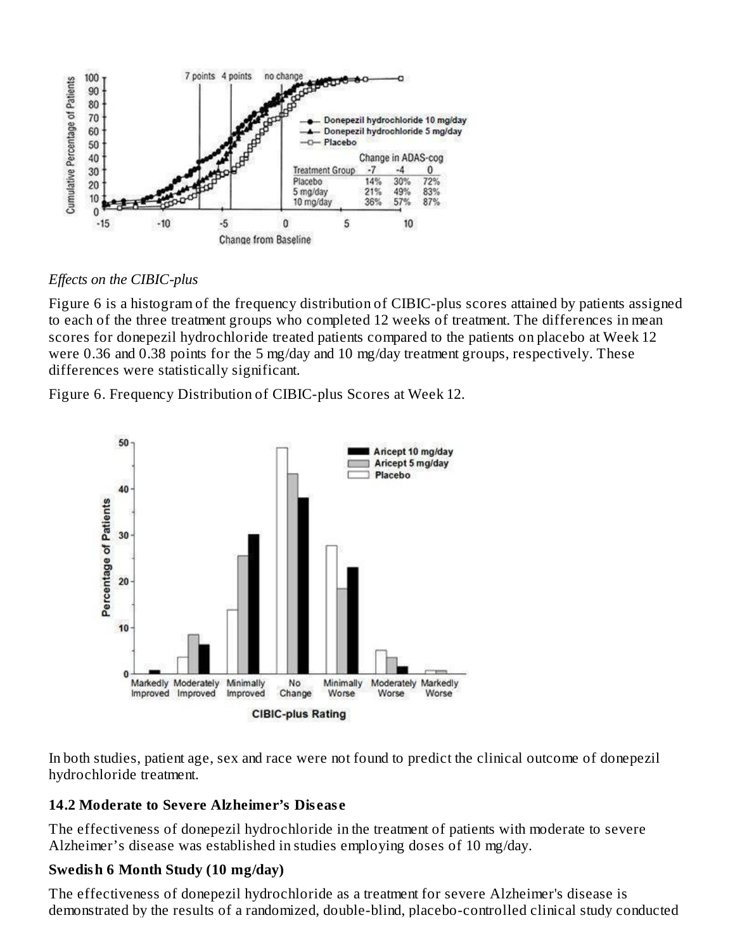

*Effects on the CIBIC-plus*

Figure 6 is a histogram of the frequency distribution of CIBIC-plus scores attained by patients assigned to each of the three treatment groups who completed 12 weeks of treatment. The differences in mean scores for donepezil hydrochloride treated patients compared to the patients on placebo at Week 12 were 0.36 and 0.38 points for the 5 mg/day and 10 mg/day treatment groups, respectively. These differences were statistically significant.

Figure 6. Frequency Distribution of CIBIC-plus Scores at Week 12.



In both studies, patient age, sex and race were not found to predict the clinical outcome of donepezil hydrochloride treatment.

# **14.2 Moderate to Severe Alzheimer's Dis eas e**

The effectiveness of donepezil hydrochloride in the treatment of patients with moderate to severe Alzheimer's disease was established in studies employing doses of 10 mg/day.

# **Swedish 6 Month Study (10 mg/day)**

The effectiveness of donepezil hydrochloride as a treatment for severe Alzheimer's disease is demonstrated by the results of a randomized, double-blind, placebo-controlled clinical study conducted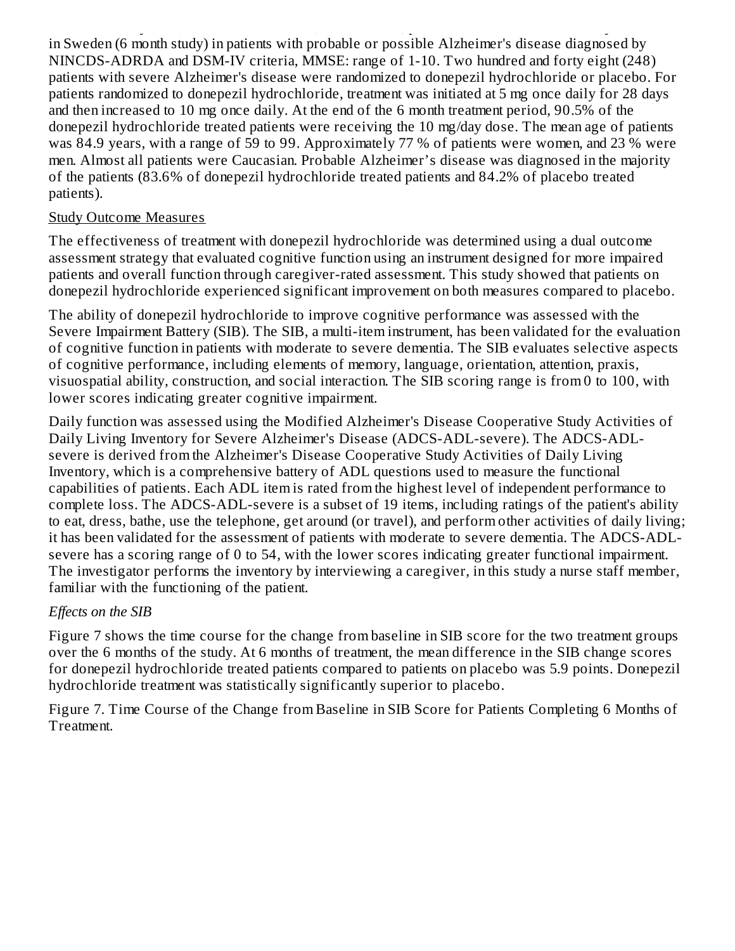demonstrated by the results of a randomized, double-blind, placebo-controlled clinical study conducted in Sweden (6 month study) in patients with probable or possible Alzheimer's disease diagnosed by NINCDS-ADRDA and DSM-IV criteria, MMSE: range of 1-10. Two hundred and forty eight (248) patients with severe Alzheimer's disease were randomized to donepezil hydrochloride or placebo. For patients randomized to donepezil hydrochloride, treatment was initiated at 5 mg once daily for 28 days and then increased to 10 mg once daily. At the end of the 6 month treatment period, 90.5% of the donepezil hydrochloride treated patients were receiving the 10 mg/day dose. The mean age of patients was 84.9 years, with a range of 59 to 99. Approximately 77 % of patients were women, and 23 % were men. Almost all patients were Caucasian. Probable Alzheimer's disease was diagnosed in the majority of the patients (83.6% of donepezil hydrochloride treated patients and 84.2% of placebo treated patients).

#### Study Outcome Measures

The effectiveness of treatment with donepezil hydrochloride was determined using a dual outcome assessment strategy that evaluated cognitive function using an instrument designed for more impaired patients and overall function through caregiver-rated assessment. This study showed that patients on donepezil hydrochloride experienced significant improvement on both measures compared to placebo.

The ability of donepezil hydrochloride to improve cognitive performance was assessed with the Severe Impairment Battery (SIB). The SIB, a multi-item instrument, has been validated for the evaluation of cognitive function in patients with moderate to severe dementia. The SIB evaluates selective aspects of cognitive performance, including elements of memory, language, orientation, attention, praxis, visuospatial ability, construction, and social interaction. The SIB scoring range is from 0 to 100, with lower scores indicating greater cognitive impairment.

Daily function was assessed using the Modified Alzheimer's Disease Cooperative Study Activities of Daily Living Inventory for Severe Alzheimer's Disease (ADCS-ADL-severe). The ADCS-ADLsevere is derived from the Alzheimer's Disease Cooperative Study Activities of Daily Living Inventory, which is a comprehensive battery of ADL questions used to measure the functional capabilities of patients. Each ADL item is rated from the highest level of independent performance to complete loss. The ADCS-ADL-severe is a subset of 19 items, including ratings of the patient's ability to eat, dress, bathe, use the telephone, get around (or travel), and perform other activities of daily living; it has been validated for the assessment of patients with moderate to severe dementia. The ADCS-ADLsevere has a scoring range of 0 to 54, with the lower scores indicating greater functional impairment. The investigator performs the inventory by interviewing a caregiver, in this study a nurse staff member, familiar with the functioning of the patient.

#### *Effects on the SIB*

Figure 7 shows the time course for the change from baseline in SIB score for the two treatment groups over the 6 months of the study. At 6 months of treatment, the mean difference in the SIB change scores for donepezil hydrochloride treated patients compared to patients on placebo was 5.9 points. Donepezil hydrochloride treatment was statistically significantly superior to placebo.

Figure 7. Time Course of the Change from Baseline in SIB Score for Patients Completing 6 Months of Treatment.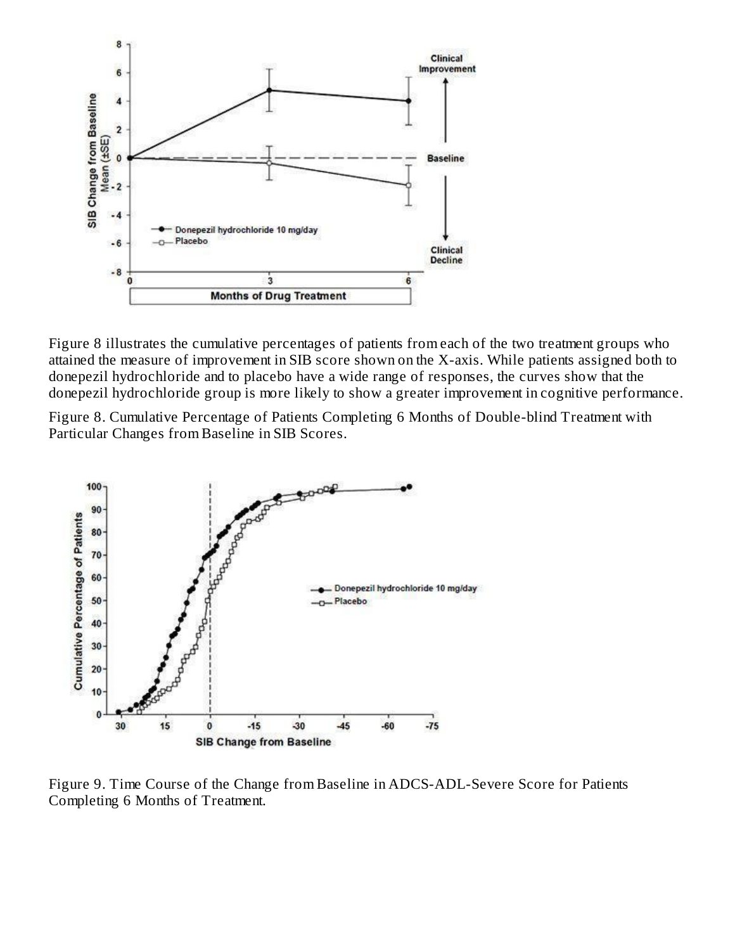

Figure 8 illustrates the cumulative percentages of patients from each of the two treatment groups who attained the measure of improvement in SIB score shown on the X-axis. While patients assigned both to donepezil hydrochloride and to placebo have a wide range of responses, the curves show that the donepezil hydrochloride group is more likely to show a greater improvement in cognitive performance.

Figure 8. Cumulative Percentage of Patients Completing 6 Months of Double-blind Treatment with Particular Changes from Baseline in SIB Scores.



Figure 9. Time Course of the Change from Baseline in ADCS-ADL-Severe Score for Patients Completing 6 Months of Treatment.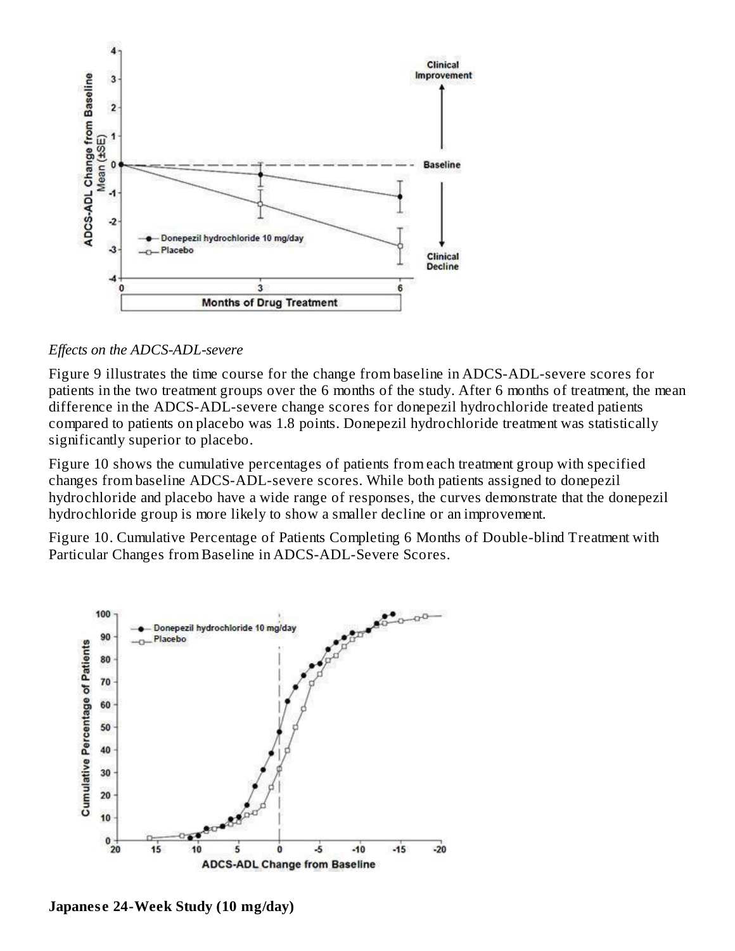

#### *Effects on the ADCS-ADL-severe*

Figure 9 illustrates the time course for the change from baseline in ADCS-ADL-severe scores for patients in the two treatment groups over the 6 months of the study. After 6 months of treatment, the mean difference in the ADCS-ADL-severe change scores for donepezil hydrochloride treated patients compared to patients on placebo was 1.8 points. Donepezil hydrochloride treatment was statistically significantly superior to placebo.

Figure 10 shows the cumulative percentages of patients from each treatment group with specified changes from baseline ADCS-ADL-severe scores. While both patients assigned to donepezil hydrochloride and placebo have a wide range of responses, the curves demonstrate that the donepezil hydrochloride group is more likely to show a smaller decline or an improvement.

Figure 10. Cumulative Percentage of Patients Completing 6 Months of Double-blind Treatment with Particular Changes from Baseline in ADCS-ADL-Severe Scores.



**Japanes e 24-Week Study (10 mg/day)**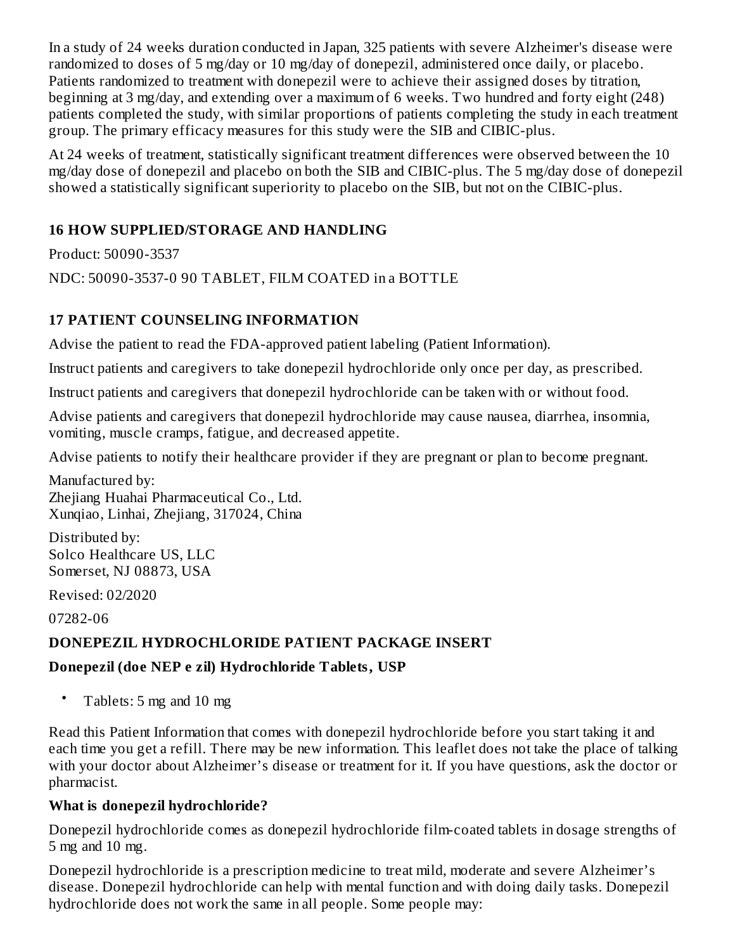In a study of 24 weeks duration conducted in Japan, 325 patients with severe Alzheimer's disease were randomized to doses of 5 mg/day or 10 mg/day of donepezil, administered once daily, or placebo. Patients randomized to treatment with donepezil were to achieve their assigned doses by titration, beginning at 3 mg/day, and extending over a maximum of 6 weeks. Two hundred and forty eight (248) patients completed the study, with similar proportions of patients completing the study in each treatment group. The primary efficacy measures for this study were the SIB and CIBIC-plus.

At 24 weeks of treatment, statistically significant treatment differences were observed between the 10 mg/day dose of donepezil and placebo on both the SIB and CIBIC-plus. The 5 mg/day dose of donepezil showed a statistically significant superiority to placebo on the SIB, but not on the CIBIC-plus.

### **16 HOW SUPPLIED/STORAGE AND HANDLING**

Product: 50090-3537

NDC: 50090-3537-0 90 TABLET, FILM COATED in a BOTTLE

### **17 PATIENT COUNSELING INFORMATION**

Advise the patient to read the FDA-approved patient labeling (Patient Information).

Instruct patients and caregivers to take donepezil hydrochloride only once per day, as prescribed.

Instruct patients and caregivers that donepezil hydrochloride can be taken with or without food.

Advise patients and caregivers that donepezil hydrochloride may cause nausea, diarrhea, insomnia, vomiting, muscle cramps, fatigue, and decreased appetite.

Advise patients to notify their healthcare provider if they are pregnant or plan to become pregnant.

Manufactured by: Zhejiang Huahai Pharmaceutical Co., Ltd. Xunqiao, Linhai, Zhejiang, 317024, China

Distributed by: Solco Healthcare US, LLC Somerset, NJ 08873, USA

Revised: 02/2020

07282-06

### **DONEPEZIL HYDROCHLORIDE PATIENT PACKAGE INSERT**

### **Donepezil (doe NEP e zil) Hydrochloride Tablets, USP**

• Tablets: 5 mg and 10 mg

Read this Patient Information that comes with donepezil hydrochloride before you start taking it and each time you get a refill. There may be new information. This leaflet does not take the place of talking with your doctor about Alzheimer's disease or treatment for it. If you have questions, ask the doctor or pharmacist.

### **What is donepezil hydrochloride?**

Donepezil hydrochloride comes as donepezil hydrochloride film-coated tablets in dosage strengths of 5 mg and 10 mg.

Donepezil hydrochloride is a prescription medicine to treat mild, moderate and severe Alzheimer's disease. Donepezil hydrochloride can help with mental function and with doing daily tasks. Donepezil hydrochloride does not work the same in all people. Some people may: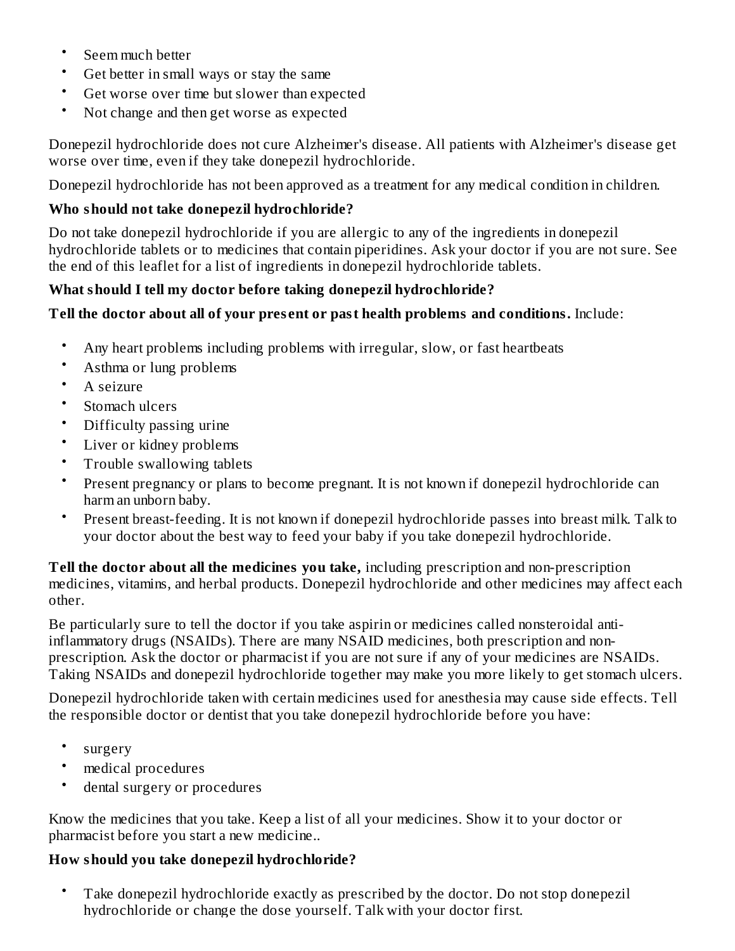- Seem much better
- Get better in small ways or stay the same
- Get worse over time but slower than expected
- Not change and then get worse as expected

Donepezil hydrochloride does not cure Alzheimer's disease. All patients with Alzheimer's disease get worse over time, even if they take donepezil hydrochloride.

Donepezil hydrochloride has not been approved as a treatment for any medical condition in children.

### **Who should not take donepezil hydrochloride?**

Do not take donepezil hydrochloride if you are allergic to any of the ingredients in donepezil hydrochloride tablets or to medicines that contain piperidines. Ask your doctor if you are not sure. See the end of this leaflet for a list of ingredients in donepezil hydrochloride tablets.

### **What should I tell my doctor before taking donepezil hydrochloride?**

### **Tell the doctor about all of your pres ent or past health problems and conditions.** Include:

- Any heart problems including problems with irregular, slow, or fast heartbeats
- Asthma or lung problems
- A seizure
- Stomach ulcers
- Difficulty passing urine
- Liver or kidney problems
- Trouble swallowing tablets
- Present pregnancy or plans to become pregnant. It is not known if donepezil hydrochloride can harm an unborn baby.
- Present breast-feeding. It is not known if donepezil hydrochloride passes into breast milk. Talk to your doctor about the best way to feed your baby if you take donepezil hydrochloride.

**Tell the doctor about all the medicines you take,** including prescription and non-prescription medicines, vitamins, and herbal products. Donepezil hydrochloride and other medicines may affect each other.

Be particularly sure to tell the doctor if you take aspirin or medicines called nonsteroidal antiinflammatory drugs (NSAIDs). There are many NSAID medicines, both prescription and nonprescription. Ask the doctor or pharmacist if you are not sure if any of your medicines are NSAIDs. Taking NSAIDs and donepezil hydrochloride together may make you more likely to get stomach ulcers.

Donepezil hydrochloride taken with certain medicines used for anesthesia may cause side effects. Tell the responsible doctor or dentist that you take donepezil hydrochloride before you have:

- surgery
- medical procedures
- dental surgery or procedures

Know the medicines that you take. Keep a list of all your medicines. Show it to your doctor or pharmacist before you start a new medicine..

#### **How should you take donepezil hydrochloride?**

• Take donepezil hydrochloride exactly as prescribed by the doctor. Do not stop donepezil hydrochloride or change the dose yourself. Talk with your doctor first.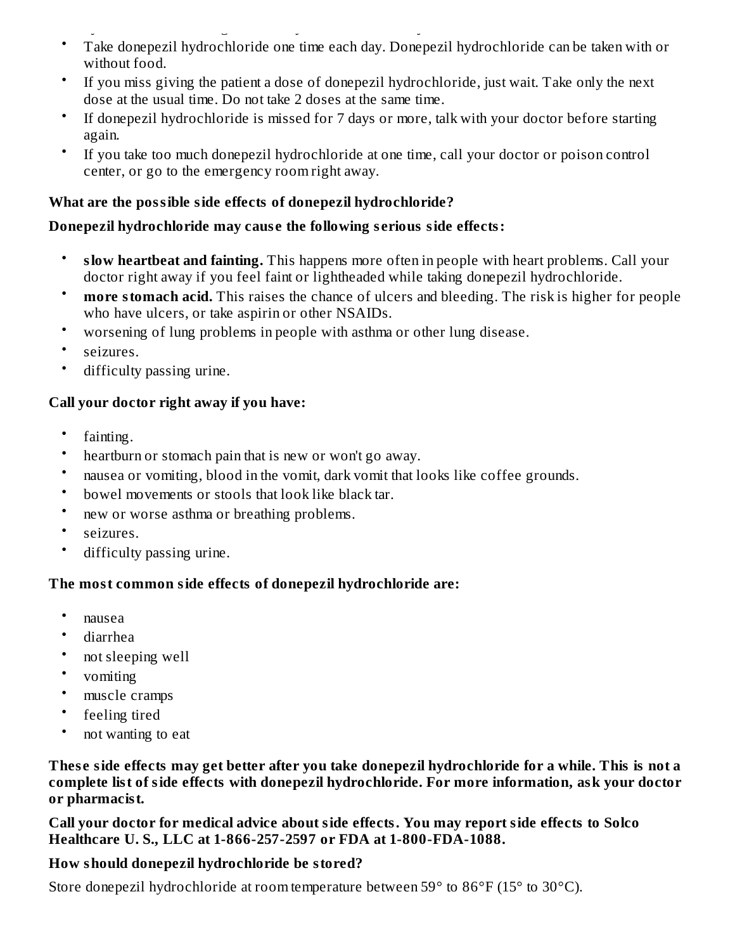- hydrochloride or change the dose yourself. Talk with your doctor first. Take donepezil hydrochloride one time each day. Donepezil hydrochloride can be taken with or without food.
- If you miss giving the patient a dose of donepezil hydrochloride, just wait. Take only the next dose at the usual time. Do not take 2 doses at the same time.
- If donepezil hydrochloride is missed for 7 days or more, talk with your doctor before starting again.
- If you take too much donepezil hydrochloride at one time, call your doctor or poison control center, or go to the emergency room right away.

### **What are the possible side effects of donepezil hydrochloride?**

### **Donepezil hydrochloride may caus e the following s erious side effects:**

- **slow heartbeat and fainting.** This happens more often in people with heart problems. Call your doctor right away if you feel faint or lightheaded while taking donepezil hydrochloride.
- **more stomach acid.** This raises the chance of ulcers and bleeding. The risk is higher for people who have ulcers, or take aspirin or other NSAIDs.
- worsening of lung problems in people with asthma or other lung disease.
- seizures.
- difficulty passing urine.

### **Call your doctor right away if you have:**

- fainting.
- heartburn or stomach pain that is new or won't go away.
- nausea or vomiting, blood in the vomit, dark vomit that looks like coffee grounds.
- bowel movements or stools that look like black tar.
- new or worse asthma or breathing problems.
- seizures.
- difficulty passing urine.

#### **The most common side effects of donepezil hydrochloride are:**

- nausea
- diarrhea
- not sleeping well
- vomiting
- muscle cramps
- feeling tired
- not wanting to eat

These side effects may get better after you take donepezil hydrochloride for a while. This is not a **complete list of side effects with donepezil hydrochloride. For more information, ask your doctor or pharmacist.**

**Call your doctor for medical advice about side effects. You may report side effects to Solco Healthcare U. S., LLC at 1-866-257-2597 or FDA at 1-800-FDA-1088.**

#### **How should donepezil hydrochloride be stored?**

Store donepezil hydrochloride at room temperature between 59° to 86°F (15° to 30°C).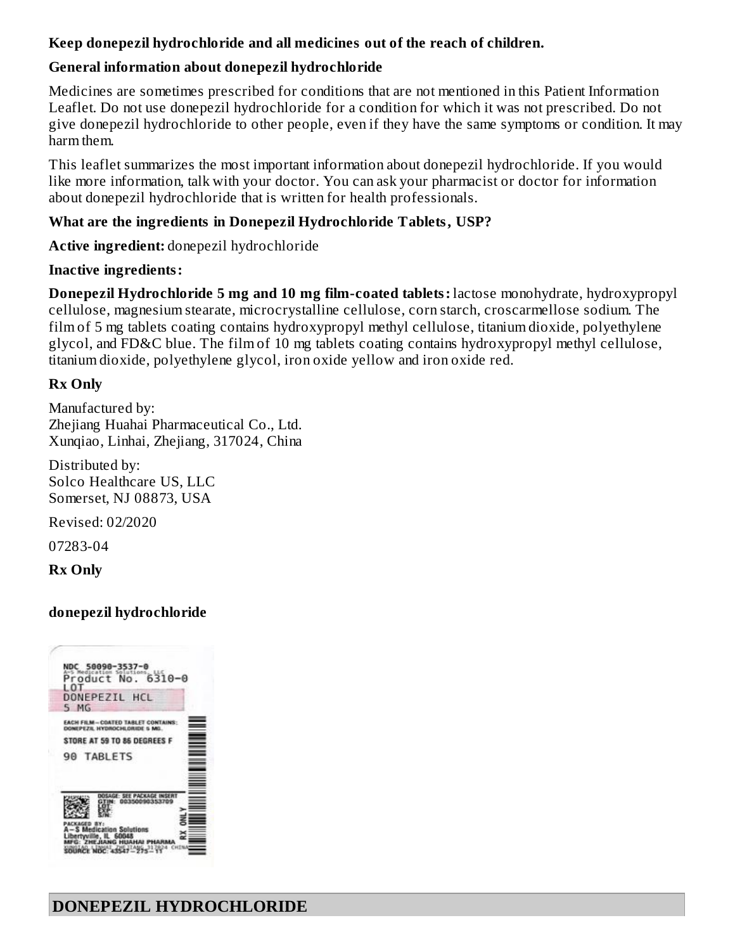### **Keep donepezil hydrochloride and all medicines out of the reach of children.**

# **General information about donepezil hydrochloride**

Medicines are sometimes prescribed for conditions that are not mentioned in this Patient Information Leaflet. Do not use donepezil hydrochloride for a condition for which it was not prescribed. Do not give donepezil hydrochloride to other people, even if they have the same symptoms or condition. It may harm them.

This leaflet summarizes the most important information about donepezil hydrochloride. If you would like more information, talk with your doctor. You can ask your pharmacist or doctor for information about donepezil hydrochloride that is written for health professionals.

### **What are the ingredients in Donepezil Hydrochloride Tablets, USP?**

**Active ingredient:** donepezil hydrochloride

### **Inactive ingredients:**

**Donepezil Hydrochloride 5 mg and 10 mg film-coated tablets:** lactose monohydrate, hydroxypropyl cellulose, magnesium stearate, microcrystalline cellulose, corn starch, croscarmellose sodium. The film of 5 mg tablets coating contains hydroxypropyl methyl cellulose, titanium dioxide, polyethylene glycol, and FD&C blue. The film of 10 mg tablets coating contains hydroxypropyl methyl cellulose, titanium dioxide, polyethylene glycol, iron oxide yellow and iron oxide red.

### **Rx Only**

Manufactured by: Zheiiang Huahai Pharmaceutical Co., Ltd. Xunqiao, Linhai, Zhejiang, 317024, China

Distributed by: Solco Healthcare US, LLC Somerset, NJ 08873, USA

Revised: 02/2020

07283-04

**Rx Only**

### **donepezil hydrochloride**

| DONEPEZIL HCL<br>MG.<br>$5 -$                                  |                  |
|----------------------------------------------------------------|------------------|
| <b>EACH FILM-COATED TABLE</b><br>DONEPEZIL HYDROCHLORIDE 5 MG. | <b>CONTAINS:</b> |
| STORE AT 59 TO 86 DEGREES F                                    |                  |
| 90 TABLETS                                                     |                  |
|                                                                |                  |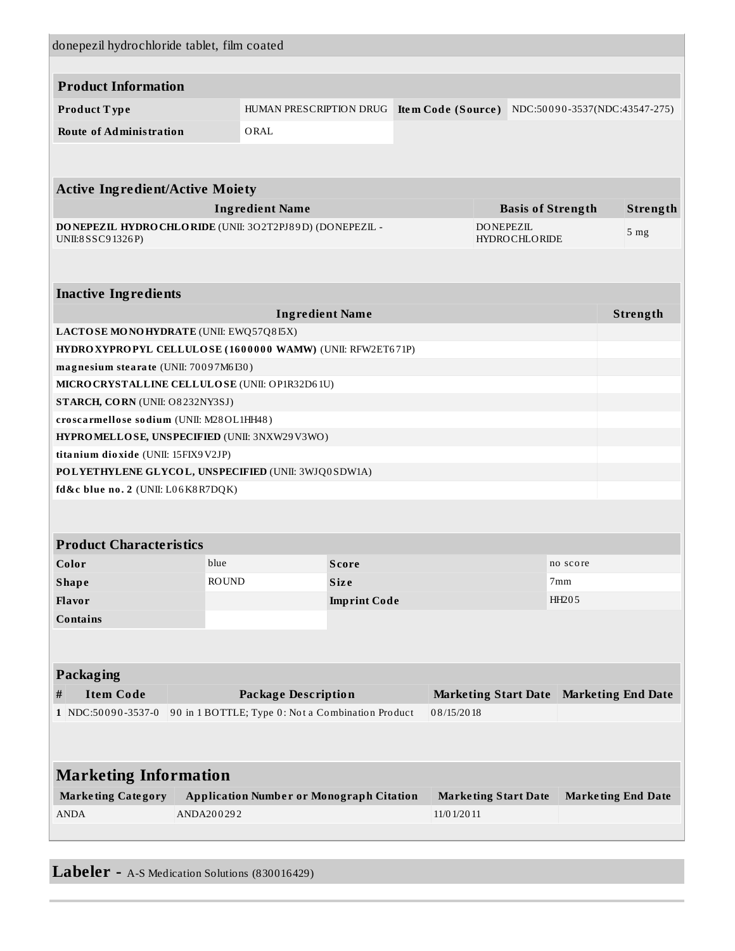| donepezil hydrochloride tablet, film coated                                           |                                                                                          |                                                           |                              |  |                             |                           |                      |                          |                           |
|---------------------------------------------------------------------------------------|------------------------------------------------------------------------------------------|-----------------------------------------------------------|------------------------------|--|-----------------------------|---------------------------|----------------------|--------------------------|---------------------------|
| <b>Product Information</b>                                                            |                                                                                          |                                                           |                              |  |                             |                           |                      |                          |                           |
| Product Type                                                                          |                                                                                          | HUMAN PRESCRIPTION DRUG<br>NDC:50090-3537(NDC:43547-275)  |                              |  |                             |                           |                      |                          |                           |
|                                                                                       |                                                                                          |                                                           | Item Code (Source)           |  |                             |                           |                      |                          |                           |
| <b>Route of Administration</b>                                                        |                                                                                          | ORAL                                                      |                              |  |                             |                           |                      |                          |                           |
|                                                                                       |                                                                                          |                                                           |                              |  |                             |                           |                      |                          |                           |
| <b>Active Ingredient/Active Moiety</b>                                                |                                                                                          |                                                           |                              |  |                             |                           |                      |                          |                           |
|                                                                                       |                                                                                          | <b>Ingredient Name</b>                                    |                              |  |                             |                           |                      | <b>Basis of Strength</b> | Strength                  |
| DONEPEZIL HYDROCHLORIDE (UNII: 3O2T2PJ89D) (DONEPEZIL -<br>UNII:8 SSC9 1326 P)        |                                                                                          |                                                           |                              |  |                             | <b>DONEPEZIL</b>          | <b>HYDROCHLORIDE</b> |                          | 5 <sub>mg</sub>           |
|                                                                                       |                                                                                          |                                                           |                              |  |                             |                           |                      |                          |                           |
|                                                                                       |                                                                                          |                                                           |                              |  |                             |                           |                      |                          |                           |
| <b>Inactive Ingredients</b>                                                           |                                                                                          |                                                           |                              |  |                             |                           |                      |                          |                           |
|                                                                                       |                                                                                          | <b>Ingredient Name</b>                                    |                              |  |                             |                           |                      |                          | Strength                  |
| LACTOSE MONOHYDRATE (UNII: EWQ57Q8I5X)                                                |                                                                                          |                                                           |                              |  |                             |                           |                      |                          |                           |
| HYDRO XYPROPYL CELLULOSE (1600000 WAMW) (UNII: RFW2ET671P)                            |                                                                                          |                                                           |                              |  |                             |                           |                      |                          |                           |
| magnesium stearate (UNII: 70097M6I30)                                                 |                                                                                          |                                                           |                              |  |                             |                           |                      |                          |                           |
| MICRO CRYSTALLINE CELLULO SE (UNII: OP1R32D61U)<br>STARCH, CORN (UNII: O8232NY3SJ)    |                                                                                          |                                                           |                              |  |                             |                           |                      |                          |                           |
|                                                                                       |                                                                                          |                                                           |                              |  |                             |                           |                      |                          |                           |
|                                                                                       | croscarmellose sodium (UNII: M28OL1HH48)<br>HYPROMELLOSE, UNSPECIFIED (UNII: 3NXW29V3WO) |                                                           |                              |  |                             |                           |                      |                          |                           |
| titanium dioxide (UNII: 15FIX9V2JP)                                                   |                                                                                          |                                                           |                              |  |                             |                           |                      |                          |                           |
| POLYETHYLENE GLYCOL, UNSPECIFIED (UNII: 3WJQ0SDW1A)                                   |                                                                                          |                                                           |                              |  |                             |                           |                      |                          |                           |
| fd&c blue no. 2 (UNII: L06K8R7DQK)                                                    |                                                                                          |                                                           |                              |  |                             |                           |                      |                          |                           |
|                                                                                       |                                                                                          |                                                           |                              |  |                             |                           |                      |                          |                           |
|                                                                                       |                                                                                          |                                                           |                              |  |                             |                           |                      |                          |                           |
| <b>Product Characteristics</b>                                                        |                                                                                          |                                                           |                              |  |                             |                           |                      |                          |                           |
| Color                                                                                 | blue                                                                                     |                                                           | <b>Score</b>                 |  |                             |                           |                      | no score                 |                           |
| <b>Shape</b>                                                                          | <b>ROUND</b>                                                                             |                                                           | Size                         |  |                             |                           |                      | 7mm                      |                           |
| Flavor                                                                                |                                                                                          |                                                           | HH205<br><b>Imprint Code</b> |  |                             |                           |                      |                          |                           |
| <b>Contains</b>                                                                       |                                                                                          |                                                           |                              |  |                             |                           |                      |                          |                           |
|                                                                                       |                                                                                          |                                                           |                              |  |                             |                           |                      |                          |                           |
| Packaging                                                                             |                                                                                          |                                                           |                              |  |                             |                           |                      |                          |                           |
| <b>Item Code</b><br>#                                                                 |                                                                                          | <b>Package Description</b><br><b>Marketing Start Date</b> |                              |  |                             | <b>Marketing End Date</b> |                      |                          |                           |
| 90 in 1 BOTTLE; Type 0: Not a Combination Product<br>08/15/2018<br>1 NDC:50090-3537-0 |                                                                                          |                                                           |                              |  |                             |                           |                      |                          |                           |
|                                                                                       |                                                                                          |                                                           |                              |  |                             |                           |                      |                          |                           |
|                                                                                       |                                                                                          |                                                           |                              |  |                             |                           |                      |                          |                           |
| <b>Marketing Information</b>                                                          |                                                                                          |                                                           |                              |  |                             |                           |                      |                          |                           |
| <b>Marketing Category</b>                                                             |                                                                                          | <b>Application Number or Monograph Citation</b>           |                              |  | <b>Marketing Start Date</b> |                           |                      |                          | <b>Marketing End Date</b> |
| <b>ANDA</b>                                                                           | ANDA200292                                                                               |                                                           |                              |  | 11/0 1/20 11                |                           |                      |                          |                           |
|                                                                                       |                                                                                          |                                                           |                              |  |                             |                           |                      |                          |                           |

**Labeler -** A-S Medication Solutions (830016429)